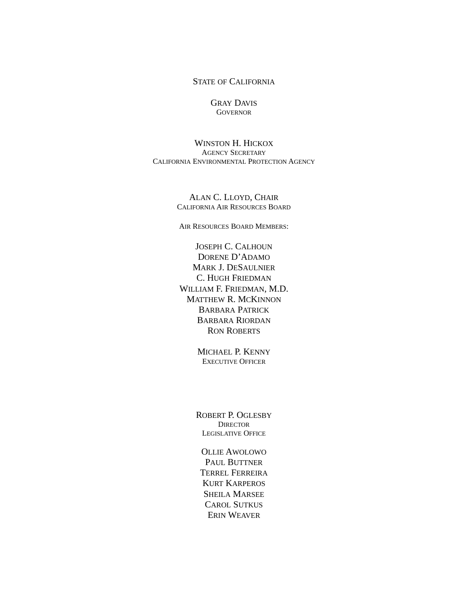#### STATE OF CALIFORNIA

#### GRAY DAVIS **GOVERNOR**

WINSTON H. HICKOX AGENCY SECRETARY CALIFORNIA ENVIRONMENTAL PROTECTION AGENCY

> ALAN C. LLOYD, CHAIR CALIFORNIA AIR RESOURCES BOARD

AIR RESOURCES BOARD MEMBERS:

JOSEPH C. CALHOUN DORENE D'ADAMO MARK J. DESAULNIER C. HUGH FRIEDMAN WILLIAM F. FRIEDMAN, M.D. MATTHEW R. MCKINNON BARBARA PATRICK BARBARA RIORDAN RON ROBERTS

> MICHAEL P. KENNY EXECUTIVE OFFICER

ROBERT P. OGLESBY **DIRECTOR** LEGISLATIVE OFFICE

OLLIE AWOLOWO PAUL BUTTNER TERREL FERREIRA KURT KARPEROS SHEILA MARSEE CAROL SUTKUS ERIN WEAVER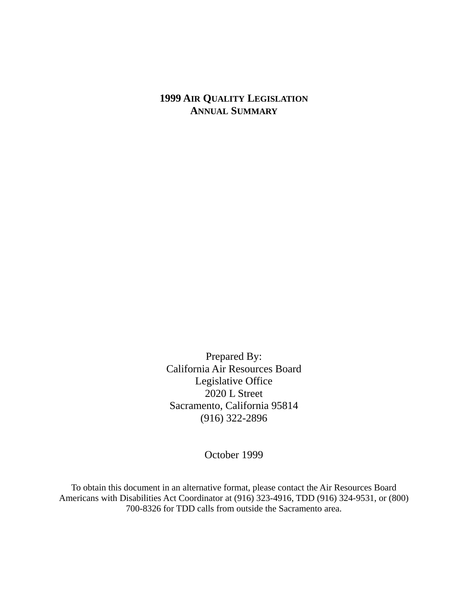# **1999 AIR QUALITY LEGISLATION ANNUAL SUMMARY**

Prepared By: California Air Resources Board Legislative Office 2020 L Street Sacramento, California 95814 (916) 322-2896

October 1999

To obtain this document in an alternative format, please contact the Air Resources Board Americans with Disabilities Act Coordinator at (916) 323-4916, TDD (916) 324-9531, or (800) 700-8326 for TDD calls from outside the Sacramento area.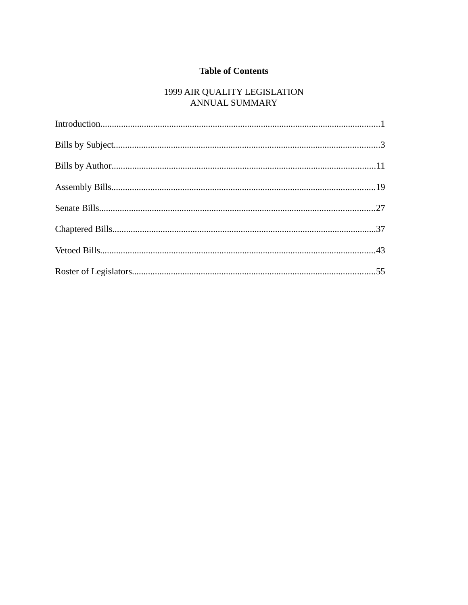# **Table of Contents**

## 1999 AIR QUALITY LEGISLATION ANNUAL SUMMARY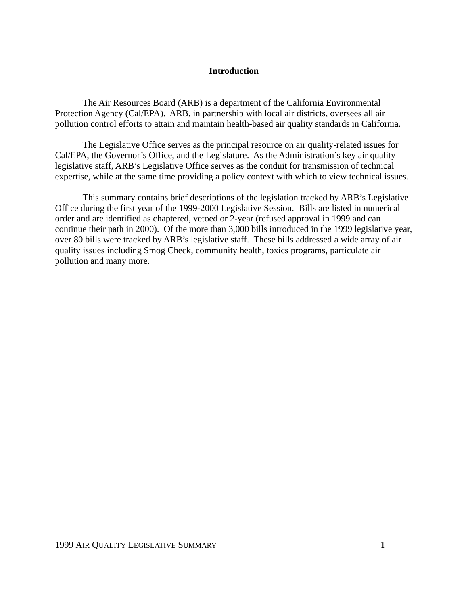#### **Introduction**

The Air Resources Board (ARB) is a department of the California Environmental Protection Agency (Cal/EPA). ARB, in partnership with local air districts, oversees all air pollution control efforts to attain and maintain health-based air quality standards in California.

The Legislative Office serves as the principal resource on air quality-related issues for Cal/EPA, the Governor's Office, and the Legislature. As the Administration's key air quality legislative staff, ARB's Legislative Office serves as the conduit for transmission of technical expertise, while at the same time providing a policy context with which to view technical issues.

This summary contains brief descriptions of the legislation tracked by ARB's Legislative Office during the first year of the 1999-2000 Legislative Session. Bills are listed in numerical order and are identified as chaptered, vetoed or 2-year (refused approval in 1999 and can continue their path in 2000). Of the more than 3,000 bills introduced in the 1999 legislative year, over 80 bills were tracked by ARB's legislative staff. These bills addressed a wide array of air quality issues including Smog Check, community health, toxics programs, particulate air pollution and many more.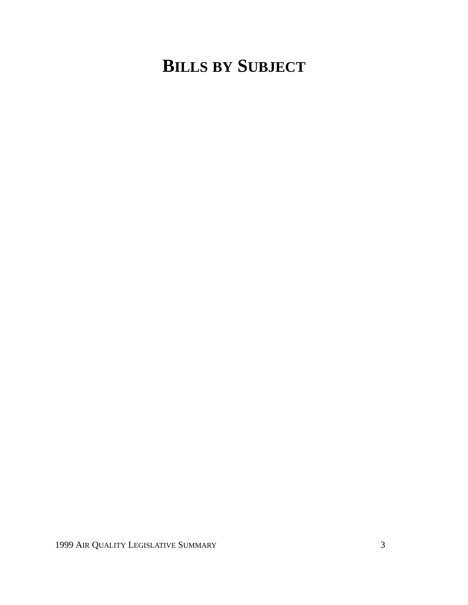# **BILLS BY SUBJECT**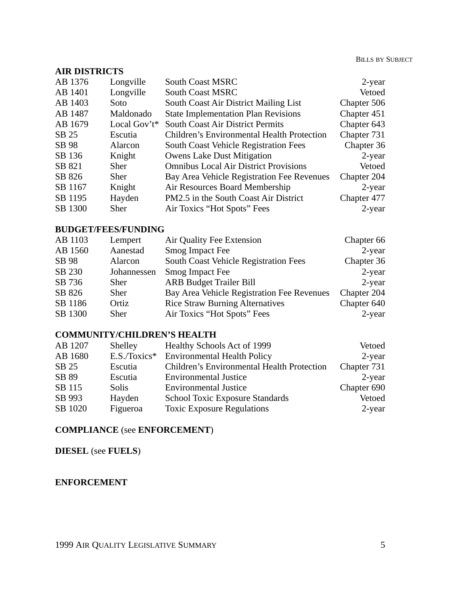#### **AIR DISTRICTS**

| AB 1376      | Longville    | <b>South Coast MSRC</b>                      | 2-year      |
|--------------|--------------|----------------------------------------------|-------------|
| AB 1401      | Longville    | <b>South Coast MSRC</b>                      | Vetoed      |
| AB 1403      | Soto         | South Coast Air District Mailing List        | Chapter 506 |
| AB 1487      | Maldonado    | <b>State Implementation Plan Revisions</b>   | Chapter 451 |
| AB 1679      | Local Gov't* | <b>South Coast Air District Permits</b>      | Chapter 643 |
| SB 25        | Escutia      | Children's Environmental Health Protection   | Chapter 731 |
| <b>SB 98</b> | Alarcon      | <b>South Coast Vehicle Registration Fees</b> | Chapter 36  |
| SB 136       | Knight       | Owens Lake Dust Mitigation                   | 2-year      |
| SB 821       | Sher         | <b>Omnibus Local Air District Provisions</b> | Vetoed      |
| SB 826       | <b>Sher</b>  | Bay Area Vehicle Registration Fee Revenues   | Chapter 204 |
| SB 1167      | Knight       | Air Resources Board Membership               | 2-year      |
| SB 1195      | Hayden       | PM2.5 in the South Coast Air District        | Chapter 477 |
| SB 1300      | Sher         | Air Toxics "Hot Spots" Fees                  | 2-year      |

#### **BUDGET/FEES/FUNDING**

| AB 1103 | Lempert     | Air Quality Fee Extension                  | Chapter 66  |
|---------|-------------|--------------------------------------------|-------------|
| AB 1560 | Aanestad    | Smog Impact Fee                            | 2-year      |
| SB 98   | Alarcon     | South Coast Vehicle Registration Fees      | Chapter 36  |
| SB 230  | Johannessen | Smog Impact Fee                            | 2-year      |
| SB 736  | Sher        | <b>ARB Budget Trailer Bill</b>             | 2-year      |
| SB 826  | Sher        | Bay Area Vehicle Registration Fee Revenues | Chapter 204 |
| SB 1186 | Ortiz       | <b>Rice Straw Burning Alternatives</b>     | Chapter 640 |
| SB 1300 | <b>Sher</b> | Air Toxics "Hot Spots" Fees                | 2-year      |

### **COMMUNITY/CHILDREN'S HEALTH**

| AB 1207 | Shelley      | Healthy Schools Act of 1999                | Vetoed      |
|---------|--------------|--------------------------------------------|-------------|
| AB 1680 | E.S./Toxics* | <b>Environmental Health Policy</b>         | 2-year      |
| SB 25   | Escutia      | Children's Environmental Health Protection | Chapter 731 |
| SB 89   | Escutia      | <b>Environmental Justice</b>               | 2-year      |
| SB 115  | <b>Solis</b> | <b>Environmental Justice</b>               | Chapter 690 |
| SB 993  | Hayden       | <b>School Toxic Exposure Standards</b>     | Vetoed      |
| SB 1020 | Figueroa     | <b>Toxic Exposure Regulations</b>          | 2-year      |
|         |              |                                            |             |

## **COMPLIANCE** (see **ENFORCEMENT**)

**DIESEL** (see **FUELS**)

## **ENFORCEMENT**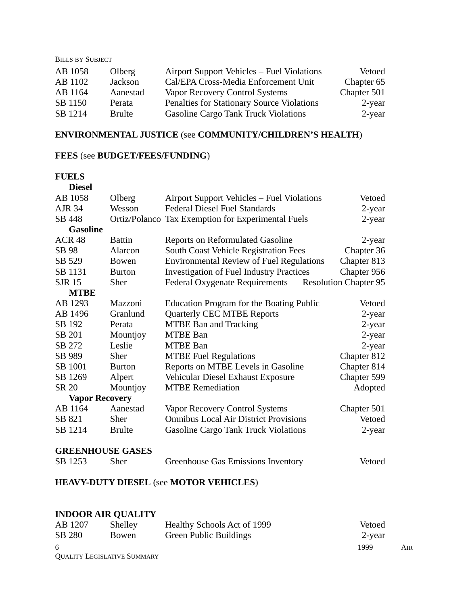#### BILLS BY SUBJECT

| AB 1058 | Olberg        | Airport Support Vehicles - Fuel Violations  | Vetoed      |
|---------|---------------|---------------------------------------------|-------------|
| AB 1102 | Jackson       | Cal/EPA Cross-Media Enforcement Unit        | Chapter 65  |
| AB 1164 | Aanestad      | Vapor Recovery Control Systems              | Chapter 501 |
| SB 1150 | Perata        | Penalties for Stationary Source Violations  | 2-year      |
| SB 1214 | <b>Brulte</b> | <b>Gasoline Cargo Tank Truck Violations</b> | 2-year      |

## **ENVIRONMENTAL JUSTICE** (see **COMMUNITY/CHILDREN'S HEALTH**)

# **FEES** (see **BUDGET/FEES/FUNDING**)

## **FUELS**

| <b>Diesel</b>           |               |                                                    |                              |
|-------------------------|---------------|----------------------------------------------------|------------------------------|
| AB 1058                 | Olberg        | Airport Support Vehicles - Fuel Violations         | Vetoed                       |
| <b>AJR 34</b>           | Wesson        | <b>Federal Diesel Fuel Standards</b>               | 2-year                       |
| SB 448                  |               | Ortiz/Polanco Tax Exemption for Experimental Fuels | 2-year                       |
| Gasoline                |               |                                                    |                              |
| <b>ACR 48</b>           | <b>Battin</b> | <b>Reports on Reformulated Gasoline</b>            | 2-year                       |
| <b>SB 98</b>            | Alarcon       | <b>South Coast Vehicle Registration Fees</b>       | Chapter 36                   |
| SB 529                  | <b>Bowen</b>  | <b>Environmental Review of Fuel Regulations</b>    | Chapter 813                  |
| SB 1131                 | <b>Burton</b> | <b>Investigation of Fuel Industry Practices</b>    | Chapter 956                  |
| <b>SJR 15</b>           | <b>Sher</b>   | <b>Federal Oxygenate Requirements</b>              | <b>Resolution Chapter 95</b> |
| <b>MTRE</b>             |               |                                                    |                              |
| AB 1293                 | Mazzoni       | <b>Education Program for the Boating Public</b>    | Vetoed                       |
| AB 1496                 | Granlund      | <b>Quarterly CEC MTBE Reports</b>                  | 2-year                       |
| SB 192                  | Perata        | <b>MTBE Ban and Tracking</b>                       | 2-year                       |
| SB 201                  | Mountjoy      | <b>MTBE Ban</b>                                    | 2-year                       |
| SB 272                  | Leslie        | <b>MTBE Ban</b>                                    | 2-year                       |
| <b>SB 989</b>           | Sher          | <b>MTBE Fuel Regulations</b>                       | Chapter 812                  |
| SB 1001                 | <b>Burton</b> | Reports on MTBE Levels in Gasoline                 | Chapter 814                  |
| SB 1269                 | Alpert        | Vehicular Diesel Exhaust Exposure                  | Chapter 599                  |
| SR 20                   | Mountjoy      | <b>MTBE Remediation</b>                            | Adopted                      |
| <b>Vapor Recovery</b>   |               |                                                    |                              |
| AB 1164                 | Aanestad      | Vapor Recovery Control Systems                     | Chapter 501                  |
| SB 821                  | Sher          | <b>Omnibus Local Air District Provisions</b>       | Vetoed                       |
| SB 1214                 | <b>Brulte</b> | <b>Gasoline Cargo Tank Truck Violations</b>        | 2-year                       |
|                         |               |                                                    |                              |
| <b>GREENHOUSE GASES</b> |               |                                                    |                              |
| SB 1253                 | <b>Sher</b>   | Greenhouse Gas Emissions Inventory                 | Vetoed                       |

### **HEAVY-DUTY DIESEL** (see **MOTOR VEHICLES**)

| <b>INDOOR AIR QUALITY</b> |                                    |                               |        |     |  |
|---------------------------|------------------------------------|-------------------------------|--------|-----|--|
| AB 1207                   | Shelley                            | Healthy Schools Act of 1999   | Vetoed |     |  |
| SB 280                    | Bowen                              | <b>Green Public Buildings</b> | 2-year |     |  |
| 6                         |                                    |                               | 1999   | Air |  |
|                           | <b>QUALITY LEGISLATIVE SUMMARY</b> |                               |        |     |  |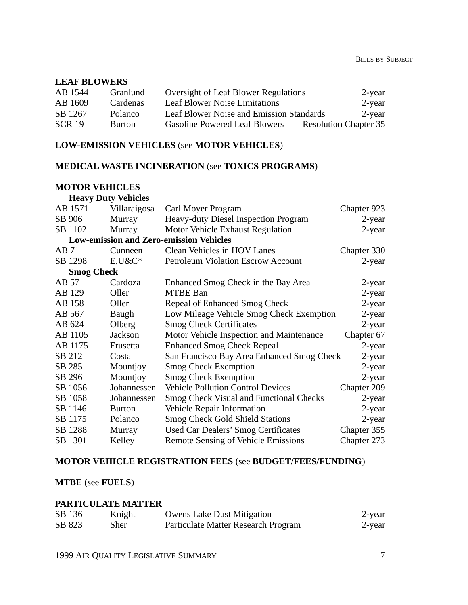#### **LEAF BLOWERS**

| AB 1544       | Granlund      | <b>Oversight of Leaf Blower Regulations</b> | 2-year                       |
|---------------|---------------|---------------------------------------------|------------------------------|
| AB 1609       | Cardenas      | <b>Leaf Blower Noise Limitations</b>        | 2-year                       |
| SB 1267       | Polanco       | Leaf Blower Noise and Emission Standards    | 2-year                       |
| <b>SCR 19</b> | <b>Burton</b> | <b>Gasoline Powered Leaf Blowers</b>        | <b>Resolution Chapter 35</b> |

#### **LOW-EMISSION VEHICLES** (see **MOTOR VEHICLES**)

#### **MEDICAL WASTE INCINERATION** (see **TOXICS PROGRAMS**)

# **MOTOR VEHICLES**

|       |                   | <b>Heavy Duty Vehicles</b> |                                                |             |
|-------|-------------------|----------------------------|------------------------------------------------|-------------|
|       | AB 1571           | Villaraigosa               | Carl Moyer Program                             | Chapter 923 |
|       | SB 906            | <b>Murray</b>              | Heavy-duty Diesel Inspection Program           | 2-year      |
|       | SB 1102           | Murray                     | Motor Vehicle Exhaust Regulation               | 2-year      |
|       |                   |                            | <b>Low-emission and Zero-emission Vehicles</b> |             |
| AB 71 |                   | Cunneen                    | Clean Vehicles in HOV Lanes                    | Chapter 330 |
|       | SB 1298           | $E, U \& C^*$              | <b>Petroleum Violation Escrow Account</b>      | 2-year      |
|       | <b>Smog Check</b> |                            |                                                |             |
| AB 57 |                   | Cardoza                    | Enhanced Smog Check in the Bay Area            | 2-year      |
|       | AB 129            | Oller                      | <b>MTBE Ban</b>                                | 2-year      |
|       | AB 158            | Oller                      | Repeal of Enhanced Smog Check                  | 2-year      |
|       | AB 567            | <b>Baugh</b>               | Low Mileage Vehicle Smog Check Exemption       | 2-year      |
|       | AB 624            | Olberg                     | <b>Smog Check Certificates</b>                 | 2-year      |
|       | AB 1105           | Jackson                    | Motor Vehicle Inspection and Maintenance       | Chapter 67  |
|       | AB 1175           | Frusetta                   | <b>Enhanced Smog Check Repeal</b>              | 2-year      |
|       | SB 212            | Costa                      | San Francisco Bay Area Enhanced Smog Check     | 2-year      |
|       | SB 285            | Mountjoy                   | <b>Smog Check Exemption</b>                    | 2-year      |
|       | SB 296            | Mountjoy                   | <b>Smog Check Exemption</b>                    | 2-year      |
|       | SB 1056           | Johannessen                | <b>Vehicle Pollution Control Devices</b>       | Chapter 209 |
|       | SB 1058           | Johannessen                | <b>Smog Check Visual and Functional Checks</b> | 2-year      |
|       | SB 1146           | <b>Burton</b>              | Vehicle Repair Information                     | 2-year      |
|       | SB 1175           | Polanco                    | <b>Smog Check Gold Shield Stations</b>         | 2-year      |
|       | SB 1288           | Murray                     | <b>Used Car Dealers' Smog Certificates</b>     | Chapter 355 |
|       | SB 1301           | Kelley                     | <b>Remote Sensing of Vehicle Emissions</b>     | Chapter 273 |

#### **MOTOR VEHICLE REGISTRATION FEES** (see **BUDGET/FEES/FUNDING**)

#### **MTBE** (see **FUELS**)

#### **PARTICULATE MATTER**

| SB 136 | Knight | Owens Lake Dust Mitigation          | 2-year |
|--------|--------|-------------------------------------|--------|
| SB 823 | Sher   | Particulate Matter Research Program | 2-year |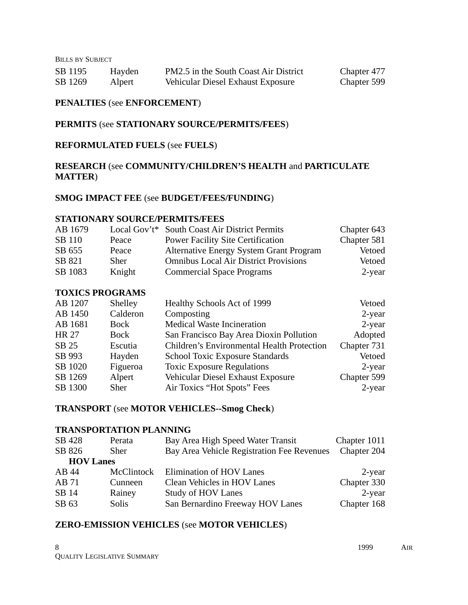BILLS BY SUBJECT

| SB 1195 | Hayden | PM2.5 in the South Coast Air District | Chapter 477 |
|---------|--------|---------------------------------------|-------------|
| SB 1269 | Alpert | Vehicular Diesel Exhaust Exposure     | Chapter 599 |

#### **PENALTIES** (see **ENFORCEMENT**)

#### **PERMITS** (see **STATIONARY SOURCE/PERMITS/FEES**)

#### **REFORMULATED FUELS** (see **FUELS**)

#### **RESEARCH** (see **COMMUNITY/CHILDREN'S HEALTH** and **PARTICULATE MATTER**)

#### **SMOG IMPACT FEE** (see **BUDGET/FEES/FUNDING**)

#### **STATIONARY SOURCE/PERMITS/FEES**

| AB 1679 |        | Local Gov't* South Coast Air District Permits | Chapter 643 |
|---------|--------|-----------------------------------------------|-------------|
| SB 110  | Peace  | <b>Power Facility Site Certification</b>      | Chapter 581 |
| SB 655  | Peace  | Alternative Energy System Grant Program       | Vetoed      |
| SB 821  | Sher   | <b>Omnibus Local Air District Provisions</b>  | Vetoed      |
| SB 1083 | Knight | <b>Commercial Space Programs</b>              | 2-year      |

#### **TOXICS PROGRAMS**

| AB 1207      | Shelley     | Healthy Schools Act of 1999                | Vetoed      |
|--------------|-------------|--------------------------------------------|-------------|
| AB 1450      | Calderon    | Composting                                 | 2-year      |
| AB 1681      | <b>Bock</b> | <b>Medical Waste Incineration</b>          | 2-year      |
| <b>HR 27</b> | <b>Bock</b> | San Francisco Bay Area Dioxin Pollution    | Adopted     |
| SB 25        | Escutia     | Children's Environmental Health Protection | Chapter 731 |
| SB 993       | Hayden      | <b>School Toxic Exposure Standards</b>     | Vetoed      |
| SB 1020      | Figueroa    | <b>Toxic Exposure Regulations</b>          | 2-year      |
| SB 1269      | Alpert      | Vehicular Diesel Exhaust Exposure          | Chapter 599 |
| SB 1300      | <b>Sher</b> | Air Toxics "Hot Spots" Fees                | 2-year      |
|              |             |                                            |             |

#### **TRANSPORT** (see **MOTOR VEHICLES--Smog Check**)

#### **TRANSPORTATION PLANNING**

| SB 428           | Bay Area High Speed Water Transit<br>Perata |                                            | Chapter 1011 |
|------------------|---------------------------------------------|--------------------------------------------|--------------|
| SB 826           | Sher                                        | Bay Area Vehicle Registration Fee Revenues | Chapter 204  |
| <b>HOV Lanes</b> |                                             |                                            |              |
| AB 44            | <b>McClintock</b>                           | <b>Elimination of HOV Lanes</b>            | 2-year       |
| AB 71            | Cunneen                                     | Clean Vehicles in HOV Lanes                | Chapter 330  |
| SB 14            | Rainey                                      | <b>Study of HOV Lanes</b>                  | 2-year       |
| SB 63            | <b>Solis</b>                                | San Bernardino Freeway HOV Lanes           | Chapter 168  |

#### **ZERO-EMISSION VEHICLES** (see **MOTOR VEHICLES**)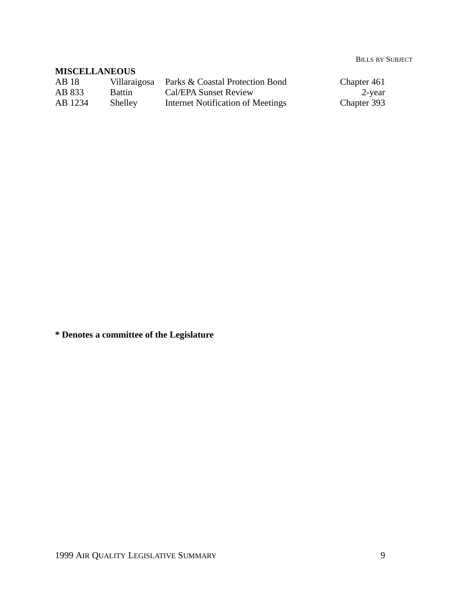### **MISCELLANEOUS**

| AB 18   |         | Villaraigosa Parks & Coastal Protection Bond | Chapter 461 |
|---------|---------|----------------------------------------------|-------------|
| AB 833  | Battin  | Cal/EPA Sunset Review                        | 2-year      |
| AB 1234 | Shelley | <b>Internet Notification of Meetings</b>     | Chapter 393 |

**\* Denotes a committee of the Legislature**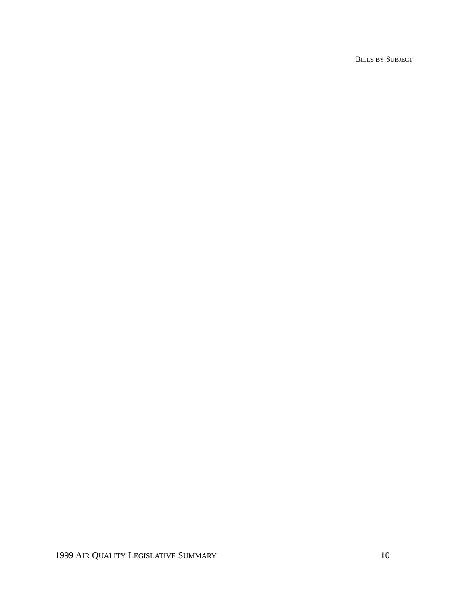BILLS BY SUBJECT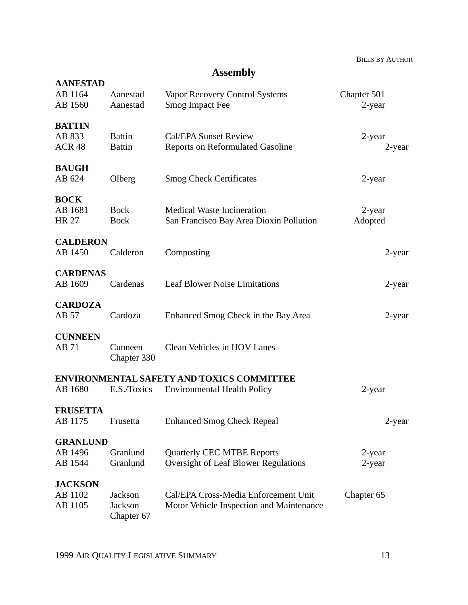# **Assembly**

| <b>AANESTAD</b><br>AB 1164<br>AB 1560        | Aanestad<br>Vapor Recovery Control Systems<br>Aanestad<br>Smog Impact Fee |                                                                                        | Chapter 501<br>2-year |
|----------------------------------------------|---------------------------------------------------------------------------|----------------------------------------------------------------------------------------|-----------------------|
| <b>BATTIN</b><br>AB 833<br>ACR <sub>48</sub> | <b>Battin</b><br><b>Battin</b>                                            | <b>Cal/EPA Sunset Review</b><br><b>Reports on Reformulated Gasoline</b>                | 2-year<br>2-year      |
| <b>BAUGH</b><br>AB 624                       | Olberg                                                                    | <b>Smog Check Certificates</b>                                                         | 2-year                |
| <b>BOCK</b><br>AB 1681<br>HR 27              | <b>Bock</b><br><b>Bock</b>                                                | <b>Medical Waste Incineration</b><br>San Francisco Bay Area Dioxin Pollution           | 2-year<br>Adopted     |
| <b>CALDERON</b><br>AB 1450                   | Calderon                                                                  | Composting                                                                             | 2-year                |
| <b>CARDENAS</b><br>AB 1609                   | Cardenas                                                                  | <b>Leaf Blower Noise Limitations</b>                                                   | 2-year                |
| <b>CARDOZA</b><br>AB 57                      | Cardoza                                                                   | Enhanced Smog Check in the Bay Area                                                    | 2-year                |
| <b>CUNNEEN</b><br>AB 71                      | Cunneen<br>Chapter 330                                                    | Clean Vehicles in HOV Lanes                                                            |                       |
| AB 1680                                      | E.S./Toxics                                                               | <b>ENVIRONMENTAL SAFETY AND TOXICS COMMITTEE</b><br><b>Environmental Health Policy</b> | 2-year                |
| <b>FRUSETTA</b><br>AB 1175                   | Frusetta                                                                  | <b>Enhanced Smog Check Repeal</b>                                                      | 2-year                |
| <b>GRANLUND</b><br>AB 1496<br>AB 1544        | Granlund<br>Granlund                                                      | <b>Quarterly CEC MTBE Reports</b><br><b>Oversight of Leaf Blower Regulations</b>       | 2-year<br>2-year      |
| <b>JACKSON</b><br>AB 1102<br>AB 1105         | Jackson<br>Jackson<br>Chapter 67                                          | Cal/EPA Cross-Media Enforcement Unit<br>Motor Vehicle Inspection and Maintenance       | Chapter 65            |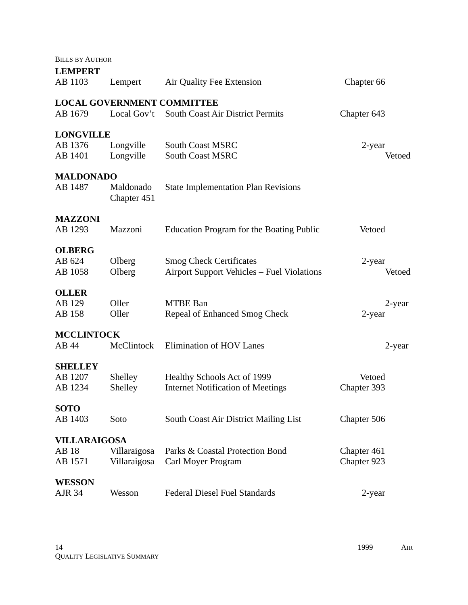| <b>BILLS BY AUTHOR</b> |                          |                                                 |             |
|------------------------|--------------------------|-------------------------------------------------|-------------|
| <b>LEMPERT</b>         |                          |                                                 |             |
| AB 1103                | Lempert                  | Air Quality Fee Extension                       | Chapter 66  |
|                        |                          | <b>LOCAL GOVERNMENT COMMITTEE</b>               |             |
| AB 1679                |                          | Local Gov't South Coast Air District Permits    | Chapter 643 |
| <b>LONGVILLE</b>       |                          |                                                 |             |
| AB 1376                | Longville                | <b>South Coast MSRC</b>                         | 2-year      |
| AB 1401                | Longville                | <b>South Coast MSRC</b>                         | Vetoed      |
| <b>MALDONADO</b>       |                          |                                                 |             |
| AB 1487                | Maldonado<br>Chapter 451 | <b>State Implementation Plan Revisions</b>      |             |
| <b>MAZZONI</b>         |                          |                                                 |             |
| AB 1293                | Mazzoni                  | <b>Education Program for the Boating Public</b> | Vetoed      |
| <b>OLBERG</b>          |                          |                                                 |             |
| AB 624                 | Olberg                   | <b>Smog Check Certificates</b>                  | 2-year      |
| AB 1058                | Olberg                   | Airport Support Vehicles - Fuel Violations      | Vetoed      |
| <b>OLLER</b>           |                          |                                                 |             |
| AB 129                 | Oller                    | <b>MTBE Ban</b>                                 | 2-year      |
| AB 158                 | Oller                    | Repeal of Enhanced Smog Check                   | 2-year      |
| <b>MCCLINTOCK</b>      |                          |                                                 |             |
| AB 44                  | McClintock               | <b>Elimination of HOV Lanes</b>                 | 2-year      |
| <b>SHELLEY</b>         |                          |                                                 |             |
| AB 1207                | Shelley                  | Healthy Schools Act of 1999                     | Vetoed      |
| AB 1234                | Shelley                  | <b>Internet Notification of Meetings</b>        | Chapter 393 |
| <b>SOTO</b>            |                          |                                                 |             |
| AB 1403                | Soto                     | South Coast Air District Mailing List           | Chapter 506 |
| VILLARAIGOSA           |                          |                                                 |             |
| AB 18                  | Villaraigosa             | Parks & Coastal Protection Bond                 | Chapter 461 |
| AB 1571                | Villaraigosa             | Carl Moyer Program                              | Chapter 923 |
| <b>WESSON</b>          |                          |                                                 |             |
| <b>AJR 34</b>          | Wesson                   | <b>Federal Diesel Fuel Standards</b>            | 2-year      |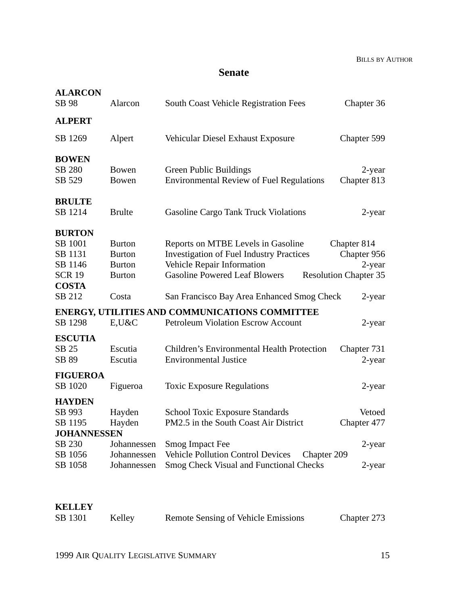## **Senate**

| <b>ALARCON</b><br><b>SB 98</b> | Alarcon       | South Coast Vehicle Registration Fees                   | Chapter 36                   |
|--------------------------------|---------------|---------------------------------------------------------|------------------------------|
| <b>ALPERT</b>                  |               |                                                         |                              |
| SB 1269                        | Alpert        | Vehicular Diesel Exhaust Exposure                       | Chapter 599                  |
| <b>BOWEN</b>                   |               |                                                         |                              |
| <b>SB 280</b>                  | <b>Bowen</b>  | <b>Green Public Buildings</b>                           | 2-year                       |
| SB 529                         | <b>Bowen</b>  | <b>Environmental Review of Fuel Regulations</b>         | Chapter 813                  |
| <b>BRULTE</b>                  |               |                                                         |                              |
| SB 1214                        | <b>Brulte</b> | <b>Gasoline Cargo Tank Truck Violations</b>             | 2-year                       |
| <b>BURTON</b>                  |               |                                                         |                              |
| SB 1001                        | <b>Burton</b> | Reports on MTBE Levels in Gasoline                      | Chapter 814                  |
| SB 1131                        | <b>Burton</b> | <b>Investigation of Fuel Industry Practices</b>         | Chapter 956                  |
| SB 1146                        | <b>Burton</b> | Vehicle Repair Information                              | 2-year                       |
| <b>SCR 19</b>                  | <b>Burton</b> | <b>Gasoline Powered Leaf Blowers</b>                    | <b>Resolution Chapter 35</b> |
| <b>COSTA</b>                   |               |                                                         |                              |
| SB 212                         | Costa         | San Francisco Bay Area Enhanced Smog Check              | 2-year                       |
|                                |               | <b>ENERGY, UTILITIES AND COMMUNICATIONS COMMITTEE</b>   |                              |
| SB 1298                        | E, U & C      | <b>Petroleum Violation Escrow Account</b>               | 2-year                       |
| <b>ESCUTIA</b>                 |               |                                                         |                              |
| SB 25                          | Escutia       | Children's Environmental Health Protection              | Chapter 731                  |
| SB 89                          | Escutia       | <b>Environmental Justice</b>                            | 2-year                       |
| <b>FIGUEROA</b>                |               |                                                         |                              |
| SB 1020                        | Figueroa      | <b>Toxic Exposure Regulations</b>                       | 2-year                       |
| <b>HAYDEN</b>                  |               |                                                         |                              |
| SB 993                         | Hayden        | <b>School Toxic Exposure Standards</b>                  | Vetoed                       |
| SB 1195                        | Hayden        | PM2.5 in the South Coast Air District                   | Chapter 477                  |
| <b>JOHANNESSEN</b>             |               |                                                         |                              |
| SB 230                         | Johannessen   | Smog Impact Fee                                         | 2-year                       |
| SB 1056                        | Johannessen   | <b>Vehicle Pollution Control Devices</b><br>Chapter 209 |                              |
| SB 1058                        | Johannessen   | <b>Smog Check Visual and Functional Checks</b>          | 2-year                       |
|                                |               |                                                         |                              |

| <b>KELLEY</b> |        |                                            |             |
|---------------|--------|--------------------------------------------|-------------|
| SB 1301       | Kelley | <b>Remote Sensing of Vehicle Emissions</b> | Chapter 273 |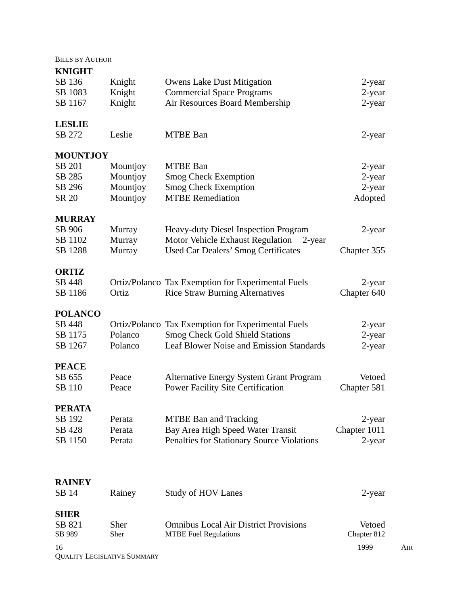| <b>KNIGHT</b>   |               |                                                    |              |
|-----------------|---------------|----------------------------------------------------|--------------|
| SB 136          | Knight        | <b>Owens Lake Dust Mitigation</b>                  | 2-year       |
| SB 1083         | Knight        | <b>Commercial Space Programs</b>                   | 2-year       |
| SB 1167         | Knight        | Air Resources Board Membership                     | 2-year       |
|                 |               |                                                    |              |
| <b>LESLIE</b>   |               |                                                    |              |
| SB 272          | Leslie        | <b>MTBE Ban</b>                                    | 2-year       |
| <b>MOUNTJOY</b> |               |                                                    |              |
| SB 201          | Mountjoy      | <b>MTBE Ban</b>                                    | 2-year       |
| SB 285          | Mountjoy      | <b>Smog Check Exemption</b>                        | 2-year       |
| SB 296          | Mountjoy      | <b>Smog Check Exemption</b>                        | 2-year       |
| <b>SR 20</b>    | Mountjoy      | <b>MTBE Remediation</b>                            |              |
|                 |               |                                                    | Adopted      |
| <b>MURRAY</b>   |               |                                                    |              |
| SB 906          | <b>Murray</b> | Heavy-duty Diesel Inspection Program               | 2-year       |
| SB 1102         | <b>Murray</b> | <b>Motor Vehicle Exhaust Regulation</b><br>2-year  |              |
| SB 1288         | Murray        | <b>Used Car Dealers' Smog Certificates</b>         | Chapter 355  |
|                 |               |                                                    |              |
| <b>ORTIZ</b>    |               |                                                    |              |
| SB 448          |               | Ortiz/Polanco Tax Exemption for Experimental Fuels | 2-year       |
| SB 1186         | Ortiz         | <b>Rice Straw Burning Alternatives</b>             | Chapter 640  |
| <b>POLANCO</b>  |               |                                                    |              |
| SB 448          |               | Ortiz/Polanco Tax Exemption for Experimental Fuels | 2-year       |
| SB 1175         | Polanco       | <b>Smog Check Gold Shield Stations</b>             | 2-year       |
| SB 1267         | Polanco       | <b>Leaf Blower Noise and Emission Standards</b>    | 2-year       |
|                 |               |                                                    |              |
| <b>PEACE</b>    |               |                                                    |              |
| SB 655          | Peace         | <b>Alternative Energy System Grant Program</b>     | Vetoed       |
| SB 110          | Peace         | <b>Power Facility Site Certification</b>           | Chapter 581  |
| <b>PERATA</b>   |               |                                                    |              |
| SB 192          | Perata        |                                                    |              |
|                 |               | <b>MTBE Ban and Tracking</b>                       | 2-year       |
| SB 428          | Perata        | Bay Area High Speed Water Transit                  | Chapter 1011 |
| SB 1150         | Perata        | <b>Penalties for Stationary Source Violations</b>  | 2-year       |
| <b>RAINEY</b>   |               |                                                    |              |
| SB 14           | Rainey        | <b>Study of HOV Lanes</b>                          | 2-year       |
|                 |               |                                                    |              |
| <b>SHER</b>     |               |                                                    |              |
| SB 821          | Sher          | <b>Omnibus Local Air District Provisions</b>       | Vetoed       |

SB 989 Sher MTBE Fuel Regulations Chapter 812  $16$  and  $1999$  and  $1999$  and  $1999$  and  $1999$  and  $1999$  and  $1999$  and  $180$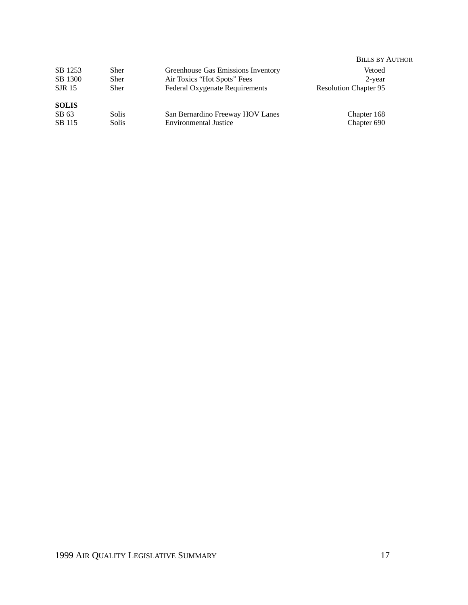|                    |                              |                                                                   | <b>BILLS BY AUTHOR</b>       |
|--------------------|------------------------------|-------------------------------------------------------------------|------------------------------|
| SB 1253<br>SB 1300 | Sher<br>Sher                 | Greenhouse Gas Emissions Inventory<br>Air Toxics "Hot Spots" Fees | Vetoed<br>2-year             |
| <b>SJR 15</b>      | <b>Sher</b>                  | Federal Oxygenate Requirements                                    | <b>Resolution Chapter 95</b> |
| <b>SOLIS</b>       |                              |                                                                   |                              |
| SB 63<br>SB 115    | <b>Solis</b><br><b>Solis</b> | San Bernardino Freeway HOV Lanes<br>Environmental Justice         | Chapter 168<br>Chapter 690   |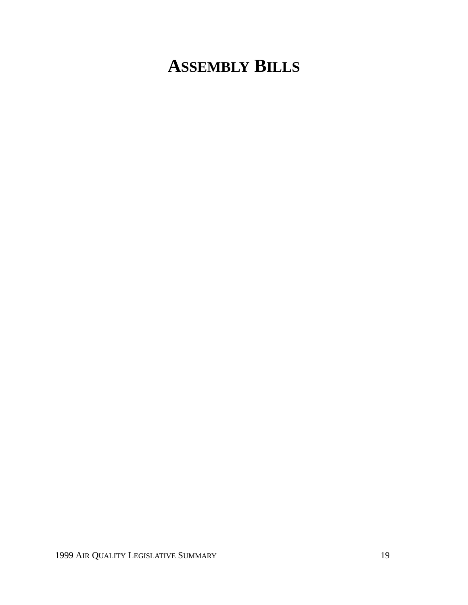# **ASSEMBLY BILLS**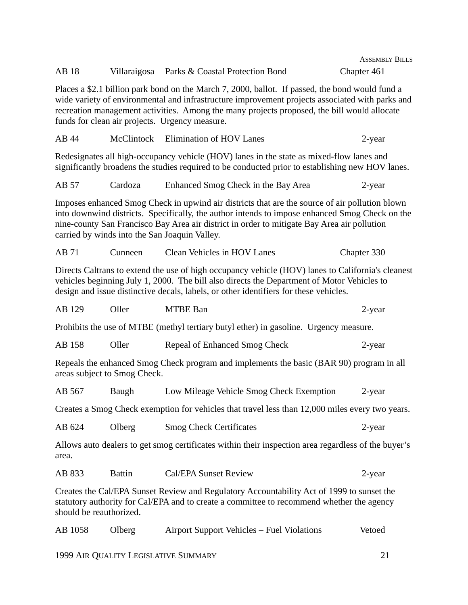| <b>AB</b> 18                                                                                                             | Villaraigosa                                                                                                                                                                                                                                                                                                                                        | Parks & Coastal Protection Bond                                                                                                                                                                                                                                                                                                                  | <b>ASSEMBLY BILLS</b><br>Chapter 461 |  |  |
|--------------------------------------------------------------------------------------------------------------------------|-----------------------------------------------------------------------------------------------------------------------------------------------------------------------------------------------------------------------------------------------------------------------------------------------------------------------------------------------------|--------------------------------------------------------------------------------------------------------------------------------------------------------------------------------------------------------------------------------------------------------------------------------------------------------------------------------------------------|--------------------------------------|--|--|
|                                                                                                                          | Places a \$2.1 billion park bond on the March 7, 2000, ballot. If passed, the bond would fund a<br>wide variety of environmental and infrastructure improvement projects associated with parks and<br>recreation management activities. Among the many projects proposed, the bill would allocate<br>funds for clean air projects. Urgency measure. |                                                                                                                                                                                                                                                                                                                                                  |                                      |  |  |
| AB 44                                                                                                                    | <b>McClintock</b>                                                                                                                                                                                                                                                                                                                                   | Elimination of HOV Lanes                                                                                                                                                                                                                                                                                                                         | 2-year                               |  |  |
|                                                                                                                          |                                                                                                                                                                                                                                                                                                                                                     | Redesignates all high-occupancy vehicle (HOV) lanes in the state as mixed-flow lanes and<br>significantly broadens the studies required to be conducted prior to establishing new HOV lanes.                                                                                                                                                     |                                      |  |  |
| AB 57                                                                                                                    | Cardoza                                                                                                                                                                                                                                                                                                                                             | Enhanced Smog Check in the Bay Area                                                                                                                                                                                                                                                                                                              | 2-year                               |  |  |
|                                                                                                                          |                                                                                                                                                                                                                                                                                                                                                     | Imposes enhanced Smog Check in upwind air districts that are the source of air pollution blown<br>into downwind districts. Specifically, the author intends to impose enhanced Smog Check on the<br>nine-county San Francisco Bay Area air district in order to mitigate Bay Area air pollution<br>carried by winds into the San Joaquin Valley. |                                      |  |  |
| AB 71                                                                                                                    | Cunneen                                                                                                                                                                                                                                                                                                                                             | Clean Vehicles in HOV Lanes                                                                                                                                                                                                                                                                                                                      | Chapter 330                          |  |  |
|                                                                                                                          |                                                                                                                                                                                                                                                                                                                                                     | Directs Caltrans to extend the use of high occupancy vehicle (HOV) lanes to California's cleanest<br>vehicles beginning July 1, 2000. The bill also directs the Department of Motor Vehicles to<br>design and issue distinctive decals, labels, or other identifiers for these vehicles.                                                         |                                      |  |  |
| AB 129                                                                                                                   | Oller                                                                                                                                                                                                                                                                                                                                               | <b>MTBE Ban</b>                                                                                                                                                                                                                                                                                                                                  | 2-year                               |  |  |
|                                                                                                                          |                                                                                                                                                                                                                                                                                                                                                     | Prohibits the use of MTBE (methyl tertiary butyl ether) in gasoline. Urgency measure.                                                                                                                                                                                                                                                            |                                      |  |  |
| AB 158                                                                                                                   | Oller                                                                                                                                                                                                                                                                                                                                               | Repeal of Enhanced Smog Check                                                                                                                                                                                                                                                                                                                    | 2-year                               |  |  |
| Repeals the enhanced Smog Check program and implements the basic (BAR 90) program in all<br>areas subject to Smog Check. |                                                                                                                                                                                                                                                                                                                                                     |                                                                                                                                                                                                                                                                                                                                                  |                                      |  |  |
|                                                                                                                          |                                                                                                                                                                                                                                                                                                                                                     |                                                                                                                                                                                                                                                                                                                                                  |                                      |  |  |
| AB 567                                                                                                                   | <b>Baugh</b>                                                                                                                                                                                                                                                                                                                                        | Low Mileage Vehicle Smog Check Exemption                                                                                                                                                                                                                                                                                                         | 2-year                               |  |  |
|                                                                                                                          |                                                                                                                                                                                                                                                                                                                                                     | Creates a Smog Check exemption for vehicles that travel less than 12,000 miles every two years.                                                                                                                                                                                                                                                  |                                      |  |  |
| AB 624                                                                                                                   | Olberg                                                                                                                                                                                                                                                                                                                                              | <b>Smog Check Certificates</b>                                                                                                                                                                                                                                                                                                                   | 2-year                               |  |  |
| area.                                                                                                                    |                                                                                                                                                                                                                                                                                                                                                     | Allows auto dealers to get smog certificates within their inspection area regardless of the buyer's                                                                                                                                                                                                                                              |                                      |  |  |
| AB 833                                                                                                                   | <b>Battin</b>                                                                                                                                                                                                                                                                                                                                       | <b>Cal/EPA Sunset Review</b>                                                                                                                                                                                                                                                                                                                     | 2-year                               |  |  |
| should be reauthorized.                                                                                                  |                                                                                                                                                                                                                                                                                                                                                     | Creates the Cal/EPA Sunset Review and Regulatory Accountability Act of 1999 to sunset the<br>statutory authority for Cal/EPA and to create a committee to recommend whether the agency                                                                                                                                                           |                                      |  |  |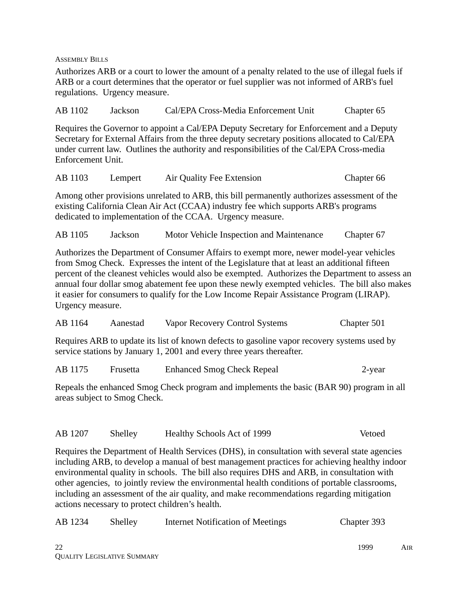ASSEMBLY BILLS

Authorizes ARB or a court to lower the amount of a penalty related to the use of illegal fuels if ARB or a court determines that the operator or fuel supplier was not informed of ARB's fuel regulations. Urgency measure.

AB 1102 Jackson Cal/EPA Cross-Media Enforcement Unit Chapter 65

Requires the Governor to appoint a Cal/EPA Deputy Secretary for Enforcement and a Deputy Secretary for External Affairs from the three deputy secretary positions allocated to Cal/EPA under current law. Outlines the authority and responsibilities of the Cal/EPA Cross-media Enforcement Unit.

AB 1103 Lempert Air Quality Fee Extension Chapter 66

Among other provisions unrelated to ARB, this bill permanently authorizes assessment of the existing California Clean Air Act (CCAA) industry fee which supports ARB's programs dedicated to implementation of the CCAA. Urgency measure.

AB 1105 Jackson Motor Vehicle Inspection and Maintenance Chapter 67

Authorizes the Department of Consumer Affairs to exempt more, newer model-year vehicles from Smog Check. Expresses the intent of the Legislature that at least an additional fifteen percent of the cleanest vehicles would also be exempted. Authorizes the Department to assess an annual four dollar smog abatement fee upon these newly exempted vehicles. The bill also makes it easier for consumers to qualify for the Low Income Repair Assistance Program (LIRAP). Urgency measure.

| AB 1164 | Aanestad | Vapor Recovery Control Systems | Chapter 501 |
|---------|----------|--------------------------------|-------------|
|---------|----------|--------------------------------|-------------|

Requires ARB to update its list of known defects to gasoline vapor recovery systems used by service stations by January 1, 2001 and every three years thereafter.

AB 1175 Frusetta Enhanced Smog Check Repeal 2-year

Repeals the enhanced Smog Check program and implements the basic (BAR 90) program in all areas subject to Smog Check.

| AB 1207 | Shellev | Healthy Schools Act of 1999 | Vetoed |
|---------|---------|-----------------------------|--------|
|---------|---------|-----------------------------|--------|

Requires the Department of Health Services (DHS), in consultation with several state agencies including ARB, to develop a manual of best management practices for achieving healthy indoor environmental quality in schools. The bill also requires DHS and ARB, in consultation with other agencies, to jointly review the environmental health conditions of portable classrooms, including an assessment of the air quality, and make recommendations regarding mitigation actions necessary to protect children's health.

| AB 1234 | Shelley | <b>Internet Notification of Meetings</b> | Chapter 393 |
|---------|---------|------------------------------------------|-------------|
|         |         |                                          |             |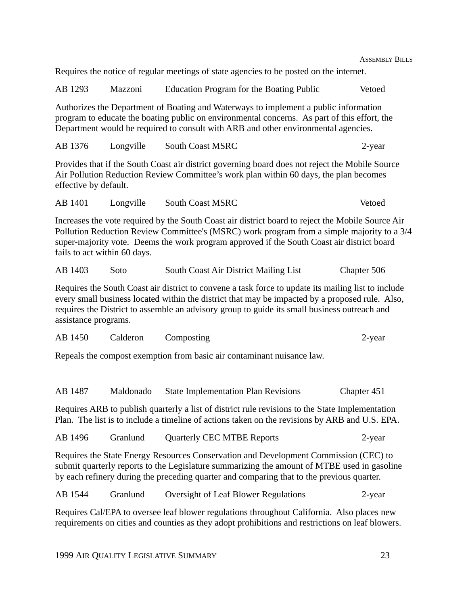ASSEMBLY BILLS

Requires the notice of regular meetings of state agencies to be posted on the internet.

| AB 1293                                                                                                                                                                                                                                                                                                                        | Mazzoni                                                                                                                                                                                                                                                                                                                       | <b>Education Program for the Boating Public</b>                                                                                                                                                                                                                                  | Vetoed      |  |  |
|--------------------------------------------------------------------------------------------------------------------------------------------------------------------------------------------------------------------------------------------------------------------------------------------------------------------------------|-------------------------------------------------------------------------------------------------------------------------------------------------------------------------------------------------------------------------------------------------------------------------------------------------------------------------------|----------------------------------------------------------------------------------------------------------------------------------------------------------------------------------------------------------------------------------------------------------------------------------|-------------|--|--|
|                                                                                                                                                                                                                                                                                                                                |                                                                                                                                                                                                                                                                                                                               | Authorizes the Department of Boating and Waterways to implement a public information<br>program to educate the boating public on environmental concerns. As part of this effort, the<br>Department would be required to consult with ARB and other environmental agencies.       |             |  |  |
| AB 1376                                                                                                                                                                                                                                                                                                                        | Longville                                                                                                                                                                                                                                                                                                                     | South Coast MSRC                                                                                                                                                                                                                                                                 | 2-year      |  |  |
| effective by default.                                                                                                                                                                                                                                                                                                          |                                                                                                                                                                                                                                                                                                                               | Provides that if the South Coast air district governing board does not reject the Mobile Source<br>Air Pollution Reduction Review Committee's work plan within 60 days, the plan becomes                                                                                         |             |  |  |
| AB 1401                                                                                                                                                                                                                                                                                                                        | Longville                                                                                                                                                                                                                                                                                                                     | <b>South Coast MSRC</b>                                                                                                                                                                                                                                                          | Vetoed      |  |  |
|                                                                                                                                                                                                                                                                                                                                | Increases the vote required by the South Coast air district board to reject the Mobile Source Air<br>Pollution Reduction Review Committee's (MSRC) work program from a simple majority to a 3/4<br>super-majority vote. Deems the work program approved if the South Coast air district board<br>fails to act within 60 days. |                                                                                                                                                                                                                                                                                  |             |  |  |
| AB 1403                                                                                                                                                                                                                                                                                                                        | Soto                                                                                                                                                                                                                                                                                                                          | South Coast Air District Mailing List                                                                                                                                                                                                                                            | Chapter 506 |  |  |
| Requires the South Coast air district to convene a task force to update its mailing list to include<br>every small business located within the district that may be impacted by a proposed rule. Also,<br>requires the District to assemble an advisory group to guide its small business outreach and<br>assistance programs. |                                                                                                                                                                                                                                                                                                                               |                                                                                                                                                                                                                                                                                  |             |  |  |
| AB 1450                                                                                                                                                                                                                                                                                                                        | Calderon                                                                                                                                                                                                                                                                                                                      | Composting                                                                                                                                                                                                                                                                       | 2-year      |  |  |
|                                                                                                                                                                                                                                                                                                                                |                                                                                                                                                                                                                                                                                                                               | Repeals the compost exemption from basic air contaminant nuisance law.                                                                                                                                                                                                           |             |  |  |
| AB 1487                                                                                                                                                                                                                                                                                                                        | Maldonado                                                                                                                                                                                                                                                                                                                     | <b>State Implementation Plan Revisions</b>                                                                                                                                                                                                                                       | Chapter 451 |  |  |
|                                                                                                                                                                                                                                                                                                                                |                                                                                                                                                                                                                                                                                                                               | Requires ARB to publish quarterly a list of district rule revisions to the State Implementation<br>Plan. The list is to include a timeline of actions taken on the revisions by ARB and U.S. EPA.                                                                                |             |  |  |
| AB 1496                                                                                                                                                                                                                                                                                                                        | Granlund                                                                                                                                                                                                                                                                                                                      | <b>Quarterly CEC MTBE Reports</b>                                                                                                                                                                                                                                                | 2-year      |  |  |
|                                                                                                                                                                                                                                                                                                                                |                                                                                                                                                                                                                                                                                                                               | Requires the State Energy Resources Conservation and Development Commission (CEC) to<br>submit quarterly reports to the Legislature summarizing the amount of MTBE used in gasoline<br>by each refinery during the preceding quarter and comparing that to the previous quarter. |             |  |  |
| AB 1544                                                                                                                                                                                                                                                                                                                        | Granlund                                                                                                                                                                                                                                                                                                                      | <b>Oversight of Leaf Blower Regulations</b>                                                                                                                                                                                                                                      | 2-year      |  |  |
|                                                                                                                                                                                                                                                                                                                                |                                                                                                                                                                                                                                                                                                                               | Requires Cal/EPA to oversee leaf blower regulations throughout California. Also places new<br>requirements on cities and counties as they adopt prohibitions and restrictions on leaf blowers.                                                                                   |             |  |  |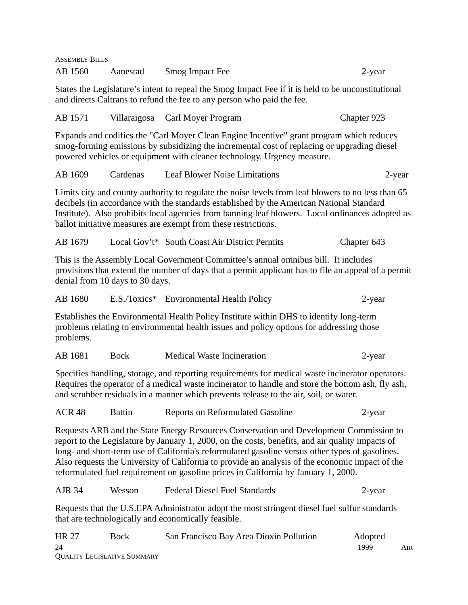| Assembly Bills |                          |        |
|----------------|--------------------------|--------|
| AB 1560        | Aanestad Smog Impact Fee | 2-year |

States the Legislature's intent to repeal the Smog Impact Fee if it is held to be unconstitutional and directs Caltrans to refund the fee to any person who paid the fee.

| AB 1571 | Villaraigosa Carl Moyer Program | Chapter 923 |
|---------|---------------------------------|-------------|
|         |                                 |             |
|         |                                 |             |

Expands and codifies the "Carl Moyer Clean Engine Incentive" grant program which reduces smog-forming emissions by subsidizing the incremental cost of replacing or upgrading diesel powered vehicles or equipment with cleaner technology. Urgency measure.

| AB 1609 | Cardenas | <b>Leaf Blower Noise Limitations</b> | 2-vear |
|---------|----------|--------------------------------------|--------|
|         |          |                                      |        |

Limits city and county authority to regulate the noise levels from leaf blowers to no less than 65 decibels (in accordance with the standards established by the American National Standard Institute). Also prohibits local agencies from banning leaf blowers. Local ordinances adopted as ballot initiative measures are exempt from these restrictions.

| AB 1679 | Local Gov't* South Coast Air District Permits | Chapter 643 |
|---------|-----------------------------------------------|-------------|
|         |                                               |             |

This is the Assembly Local Government Committee's annual omnibus bill. It includes provisions that extend the number of days that a permit applicant has to file an appeal of a permit denial from 10 days to 30 days.

| AB 1680 |  | E.S./Toxics* Environmental Health Policy | 2-year |
|---------|--|------------------------------------------|--------|
|---------|--|------------------------------------------|--------|

Establishes the Environmental Health Policy Institute within DHS to identify long-term problems relating to environmental health issues and policy options for addressing those problems.

|  | AB 1681 | Bock | <b>Medical Waste Incineration</b> | 2-year |
|--|---------|------|-----------------------------------|--------|
|--|---------|------|-----------------------------------|--------|

Specifies handling, storage, and reporting requirements for medical waste incinerator operators. Requires the operator of a medical waste incinerator to handle and store the bottom ash, fly ash, and scrubber residuals in a manner which prevents release to the air, soil, or water.

| ACR <sub>48</sub> | Battin | <b>Reports on Reformulated Gasoline</b> | 2-vear |
|-------------------|--------|-----------------------------------------|--------|
|-------------------|--------|-----------------------------------------|--------|

Requests ARB and the State Energy Resources Conservation and Development Commission to report to the Legislature by January 1, 2000, on the costs, benefits, and air quality impacts of long- and short-term use of California's reformulated gasoline versus other types of gasolines. Also requests the University of California to provide an analysis of the economic impact of the reformulated fuel requirement on gasoline prices in California by January 1, 2000.

| <b>AJR 34</b> | Wesson | <b>Federal Diesel Fuel Standards</b> | 2-year |
|---------------|--------|--------------------------------------|--------|
|---------------|--------|--------------------------------------|--------|

Requests that the U.S.EPA Administrator adopt the most stringent diesel fuel sulfur standards that are technologically and economically feasible.

| HR 27                              | Bock | San Francisco Bay Area Dioxin Pollution | Adopted |     |
|------------------------------------|------|-----------------------------------------|---------|-----|
| 24                                 |      |                                         | 1999    | Air |
| <b>QUALITY LEGISLATIVE SUMMARY</b> |      |                                         |         |     |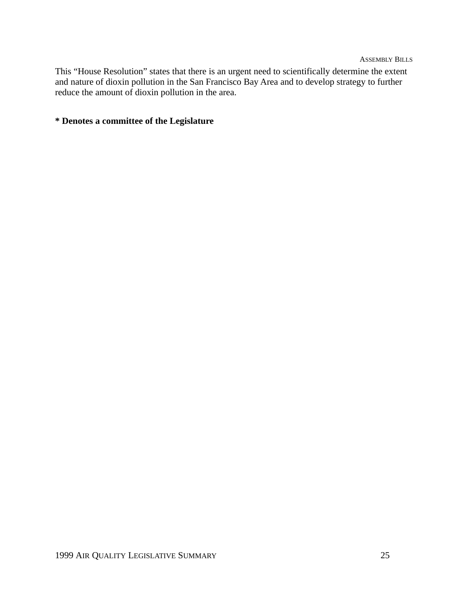This "House Resolution" states that there is an urgent need to scientifically determine the extent and nature of dioxin pollution in the San Francisco Bay Area and to develop strategy to further reduce the amount of dioxin pollution in the area.

# **\* Denotes a committee of the Legislature**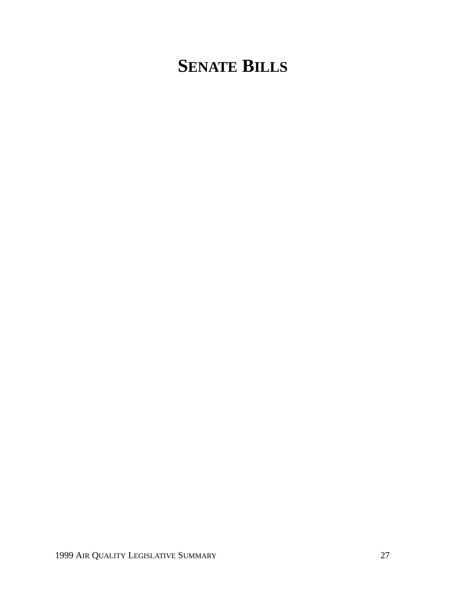# **SENATE BILLS**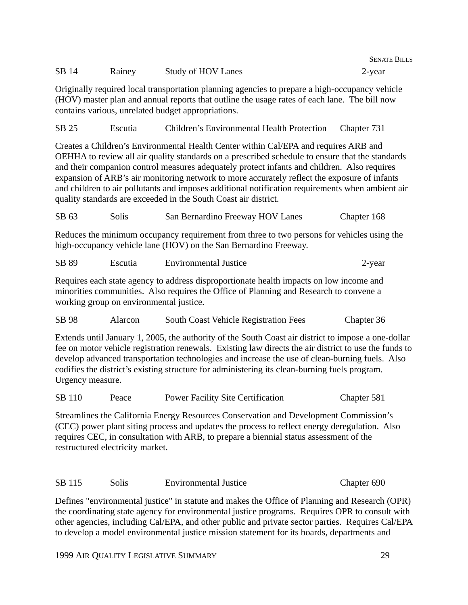|       |        |                           | <b>SENATE BILLS</b> |
|-------|--------|---------------------------|---------------------|
| SB 14 | Rainey | <b>Study of HOV Lanes</b> | 2-year              |

Originally required local transportation planning agencies to prepare a high-occupancy vehicle (HOV) master plan and annual reports that outline the usage rates of each lane. The bill now contains various, unrelated budget appropriations.

SB 25 Escutia Children's Environmental Health Protection Chapter 731

Creates a Children's Environmental Health Center within Cal/EPA and requires ARB and OEHHA to review all air quality standards on a prescribed schedule to ensure that the standards and their companion control measures adequately protect infants and children. Also requires expansion of ARB's air monitoring network to more accurately reflect the exposure of infants and children to air pollutants and imposes additional notification requirements when ambient air quality standards are exceeded in the South Coast air district.

SB 63 Solis San Bernardino Freeway HOV Lanes Chapter 168

Reduces the minimum occupancy requirement from three to two persons for vehicles using the high-occupancy vehicle lane (HOV) on the San Bernardino Freeway.

SB 89 Escutia Environmental Justice 2-year

Requires each state agency to address disproportionate health impacts on low income and minorities communities. Also requires the Office of Planning and Research to convene a working group on environmental justice.

SB 98 Alarcon South Coast Vehicle Registration Fees Chapter 36

Extends until January 1, 2005, the authority of the South Coast air district to impose a one-dollar fee on motor vehicle registration renewals. Existing law directs the air district to use the funds to develop advanced transportation technologies and increase the use of clean-burning fuels. Also codifies the district's existing structure for administering its clean-burning fuels program. Urgency measure.

| SB 110 | Peace | <b>Power Facility Site Certification</b> | Chapter 581 |
|--------|-------|------------------------------------------|-------------|
|--------|-------|------------------------------------------|-------------|

Streamlines the California Energy Resources Conservation and Development Commission's (CEC) power plant siting process and updates the process to reflect energy deregulation. Also requires CEC, in consultation with ARB, to prepare a biennial status assessment of the restructured electricity market.

SB 115 Solis Environmental Justice Chapter 690

Defines "environmental justice" in statute and makes the Office of Planning and Research (OPR) the coordinating state agency for environmental justice programs. Requires OPR to consult with other agencies, including Cal/EPA, and other public and private sector parties. Requires Cal/EPA to develop a model environmental justice mission statement for its boards, departments and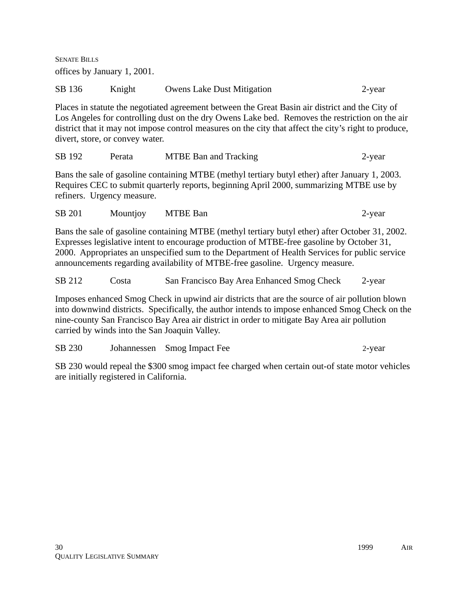SENATE BILLS offices by January 1, 2001.

| SB 136 | Knight | <b>Owens Lake Dust Mitigation</b> | 2-year |
|--------|--------|-----------------------------------|--------|

Places in statute the negotiated agreement between the Great Basin air district and the City of Los Angeles for controlling dust on the dry Owens Lake bed. Removes the restriction on the air district that it may not impose control measures on the city that affect the city's right to produce, divert, store, or convey water.

| SB 192 | Perata | MTBE Ban and Tracking | z-vear |
|--------|--------|-----------------------|--------|
|        |        |                       |        |

Bans the sale of gasoline containing MTBE (methyl tertiary butyl ether) after January 1, 2003. Requires CEC to submit quarterly reports, beginning April 2000, summarizing MTBE use by refiners. Urgency measure.

SB 201 Mountjoy MTBE Ban 2-year

Bans the sale of gasoline containing MTBE (methyl tertiary butyl ether) after October 31, 2002. Expresses legislative intent to encourage production of MTBE-free gasoline by October 31, 2000. Appropriates an unspecified sum to the Department of Health Services for public service announcements regarding availability of MTBE-free gasoline. Urgency measure.

SB 212 Costa San Francisco Bay Area Enhanced Smog Check 2-year

Imposes enhanced Smog Check in upwind air districts that are the source of air pollution blown into downwind districts. Specifically, the author intends to impose enhanced Smog Check on the nine-county San Francisco Bay Area air district in order to mitigate Bay Area air pollution carried by winds into the San Joaquin Valley.

SB 230 Johannessen Smog Impact Fee 2-year

SB 230 would repeal the \$300 smog impact fee charged when certain out-of state motor vehicles are initially registered in California.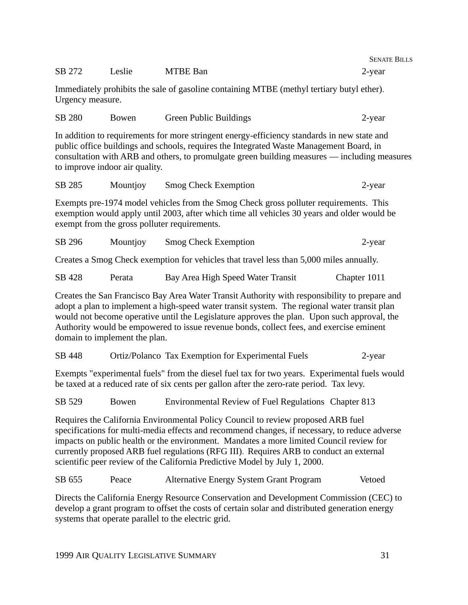| Urgency measure.                                                                                                                                                                                                                                                                                                                                                                                                         |        | Immediately prohibits the sale of gasoline containing MTBE (methyl tertiary butyl ether). |              |  |  |  |
|--------------------------------------------------------------------------------------------------------------------------------------------------------------------------------------------------------------------------------------------------------------------------------------------------------------------------------------------------------------------------------------------------------------------------|--------|-------------------------------------------------------------------------------------------|--------------|--|--|--|
| SB 280                                                                                                                                                                                                                                                                                                                                                                                                                   | Bowen  | <b>Green Public Buildings</b>                                                             | 2-year       |  |  |  |
| In addition to requirements for more stringent energy-efficiency standards in new state and<br>public office buildings and schools, requires the Integrated Waste Management Board, in<br>consultation with ARB and others, to promulgate green building measures — including measures<br>to improve indoor air quality.                                                                                                 |        |                                                                                           |              |  |  |  |
| SB 285                                                                                                                                                                                                                                                                                                                                                                                                                   |        | Mountjoy Smog Check Exemption                                                             | 2-year       |  |  |  |
| Exempts pre-1974 model vehicles from the Smog Check gross polluter requirements. This<br>exemption would apply until 2003, after which time all vehicles 30 years and older would be<br>exempt from the gross polluter requirements.                                                                                                                                                                                     |        |                                                                                           |              |  |  |  |
| SB 296                                                                                                                                                                                                                                                                                                                                                                                                                   |        | Mountjoy Smog Check Exemption                                                             | 2-year       |  |  |  |
|                                                                                                                                                                                                                                                                                                                                                                                                                          |        | Creates a Smog Check exemption for vehicles that travel less than 5,000 miles annually.   |              |  |  |  |
| SB 428                                                                                                                                                                                                                                                                                                                                                                                                                   | Perata | Bay Area High Speed Water Transit                                                         | Chapter 1011 |  |  |  |
| Creates the San Francisco Bay Area Water Transit Authority with responsibility to prepare and<br>adopt a plan to implement a high-speed water transit system. The regional water transit plan<br>would not become operative until the Legislature approves the plan. Upon such approval, the<br>Authority would be empowered to issue revenue bonds, collect fees, and exercise eminent<br>domain to implement the plan. |        |                                                                                           |              |  |  |  |
|                                                                                                                                                                                                                                                                                                                                                                                                                          |        | $CD(140 \qquad Q)^{1/2}$ $AD = T$ $D = C$ $D = C$ $D = C$                                 |              |  |  |  |

SB 272 Leslie MTBE Ban 2-year

SB 448 Ortiz/Polanco Tax Exemption for Experimental Fuels 2-year

Exempts "experimental fuels" from the diesel fuel tax for two years. Experimental fuels would be taxed at a reduced rate of six cents per gallon after the zero-rate period. Tax levy.

SB 529 Bowen Environmental Review of Fuel Regulations Chapter 813

Requires the California Environmental Policy Council to review proposed ARB fuel specifications for multi-media effects and recommend changes, if necessary, to reduce adverse impacts on public health or the environment. Mandates a more limited Council review for currently proposed ARB fuel regulations (RFG III). Requires ARB to conduct an external scientific peer review of the California Predictive Model by July 1, 2000.

SB 655 Peace Alternative Energy System Grant Program Vetoed

Directs the California Energy Resource Conservation and Development Commission (CEC) to develop a grant program to offset the costs of certain solar and distributed generation energy systems that operate parallel to the electric grid.

SENATE BILLS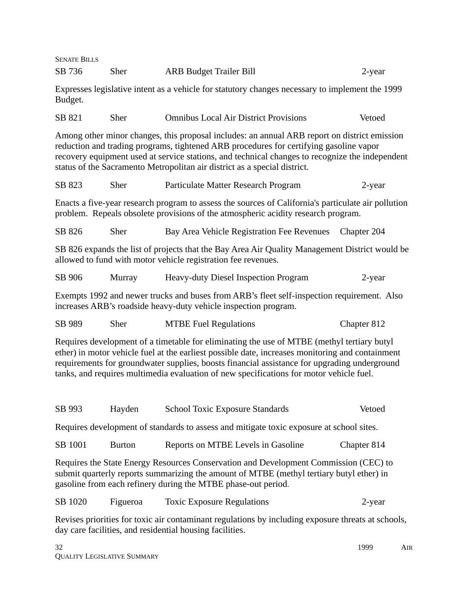SENATE BILLS

| SB 736 | Sher | ARB Budget Trailer Bill | 2-year |
|--------|------|-------------------------|--------|
|--------|------|-------------------------|--------|

Expresses legislative intent as a vehicle for statutory changes necessary to implement the 1999 Budget.

| SB 821 | <b>Sher</b> | <b>Omnibus Local Air District Provisions</b> | Vetoed |
|--------|-------------|----------------------------------------------|--------|
|        |             |                                              |        |

Among other minor changes, this proposal includes: an annual ARB report on district emission reduction and trading programs, tightened ARB procedures for certifying gasoline vapor recovery equipment used at service stations, and technical changes to recognize the independent status of the Sacramento Metropolitan air district as a special district.

|  | SB 823 | <b>Sher</b> | Particulate Matter Research Program | 2-year |
|--|--------|-------------|-------------------------------------|--------|
|--|--------|-------------|-------------------------------------|--------|

Enacts a five-year research program to assess the sources of California's particulate air pollution problem. Repeals obsolete provisions of the atmospheric acidity research program.

SB 826 Sher Bay Area Vehicle Registration Fee Revenues Chapter 204

SB 826 expands the list of projects that the Bay Area Air Quality Management District would be allowed to fund with motor vehicle registration fee revenues.

| <b>SB 906</b> | Murrav | Heavy-duty Diesel Inspection Program | 2-year |
|---------------|--------|--------------------------------------|--------|
|               |        |                                      |        |

Exempts 1992 and newer trucks and buses from ARB's fleet self-inspection requirement. Also increases ARB's roadside heavy-duty vehicle inspection program.

SB 989 Sher MTBE Fuel Regulations Chapter 812

Requires development of a timetable for eliminating the use of MTBE (methyl tertiary butyl ether) in motor vehicle fuel at the earliest possible date, increases monitoring and containment requirements for groundwater supplies, boosts financial assistance for upgrading underground tanks, and requires multimedia evaluation of new specifications for motor vehicle fuel.

| SB 993  | Hayden                                                                                                                                                                                                                                            | <b>School Toxic Exposure Standards</b>                                                   | Vetoed      |  |  |  |
|---------|---------------------------------------------------------------------------------------------------------------------------------------------------------------------------------------------------------------------------------------------------|------------------------------------------------------------------------------------------|-------------|--|--|--|
|         |                                                                                                                                                                                                                                                   | Requires development of standards to assess and mitigate toxic exposure at school sites. |             |  |  |  |
| SB 1001 | <b>Burton</b>                                                                                                                                                                                                                                     | Reports on MTBE Levels in Gasoline                                                       | Chapter 814 |  |  |  |
|         | Requires the State Energy Resources Conservation and Development Commission (CEC) to<br>submit quarterly reports summarizing the amount of MTBE (methyl tertiary butyl ether) in<br>gasoline from each refinery during the MTBE phase-out period. |                                                                                          |             |  |  |  |

| SB 1020 | Figueroa | <b>Toxic Exposure Regulations</b> | ∠-year |
|---------|----------|-----------------------------------|--------|
|---------|----------|-----------------------------------|--------|

Revises priorities for toxic air contaminant regulations by including exposure threats at schools, day care facilities, and residential housing facilities.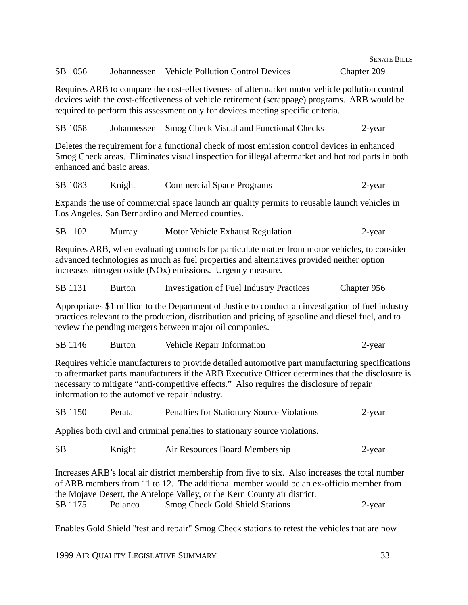|                           |               |                                                                                                                                                                                                                                                                                                                                                    | <b>SENATE BILLS</b> |
|---------------------------|---------------|----------------------------------------------------------------------------------------------------------------------------------------------------------------------------------------------------------------------------------------------------------------------------------------------------------------------------------------------------|---------------------|
| SB 1056                   |               | Johannessen Vehicle Pollution Control Devices                                                                                                                                                                                                                                                                                                      | Chapter 209         |
|                           |               | Requires ARB to compare the cost-effectiveness of aftermarket motor vehicle pollution control<br>devices with the cost-effectiveness of vehicle retirement (scrappage) programs. ARB would be<br>required to perform this assessment only for devices meeting specific criteria.                                                                   |                     |
| SB 1058                   | Johannessen   | Smog Check Visual and Functional Checks                                                                                                                                                                                                                                                                                                            | 2-year              |
| enhanced and basic areas. |               | Deletes the requirement for a functional check of most emission control devices in enhanced<br>Smog Check areas. Eliminates visual inspection for illegal aftermarket and hot rod parts in both                                                                                                                                                    |                     |
| SB 1083                   | Knight        | <b>Commercial Space Programs</b>                                                                                                                                                                                                                                                                                                                   | 2-year              |
|                           |               | Expands the use of commercial space launch air quality permits to reusable launch vehicles in<br>Los Angeles, San Bernardino and Merced counties.                                                                                                                                                                                                  |                     |
| SB 1102                   | Murray        | Motor Vehicle Exhaust Regulation                                                                                                                                                                                                                                                                                                                   | 2-year              |
|                           |               | Requires ARB, when evaluating controls for particulate matter from motor vehicles, to consider<br>advanced technologies as much as fuel properties and alternatives provided neither option<br>increases nitrogen oxide (NOx) emissions. Urgency measure.                                                                                          |                     |
| SB 1131                   | <b>Burton</b> | <b>Investigation of Fuel Industry Practices</b>                                                                                                                                                                                                                                                                                                    | Chapter 956         |
|                           |               | Appropriates \$1 million to the Department of Justice to conduct an investigation of fuel industry<br>practices relevant to the production, distribution and pricing of gasoline and diesel fuel, and to<br>review the pending mergers between major oil companies.                                                                                |                     |
| SB 1146                   | <b>Burton</b> | Vehicle Repair Information                                                                                                                                                                                                                                                                                                                         | 2-year              |
|                           |               | Requires vehicle manufacturers to provide detailed automotive part manufacturing specifications<br>to aftermarket parts manufacturers if the ARB Executive Officer determines that the disclosure is<br>necessary to mitigate "anti-competitive effects." Also requires the disclosure of repair<br>information to the automotive repair industry. |                     |
| SB 1150                   | Perata        | <b>Penalties for Stationary Source Violations</b>                                                                                                                                                                                                                                                                                                  | 2-year              |
|                           |               | Applies both civil and criminal penalties to stationary source violations.                                                                                                                                                                                                                                                                         |                     |
| <b>SB</b>                 | Knight        | Air Resources Board Membership                                                                                                                                                                                                                                                                                                                     | 2-year              |
|                           |               | Increases ARB's local air district membership from five to six. Also increases the total number<br>of ARB members from 11 to 12. The additional member would be an ex-officio member from<br>the Mojave Desert, the Antelope Valley, or the Kern County air district.                                                                              |                     |
| SB 1175                   | Polanco       | <b>Smog Check Gold Shield Stations</b>                                                                                                                                                                                                                                                                                                             | 2-year              |

Enables Gold Shield "test and repair" Smog Check stations to retest the vehicles that are now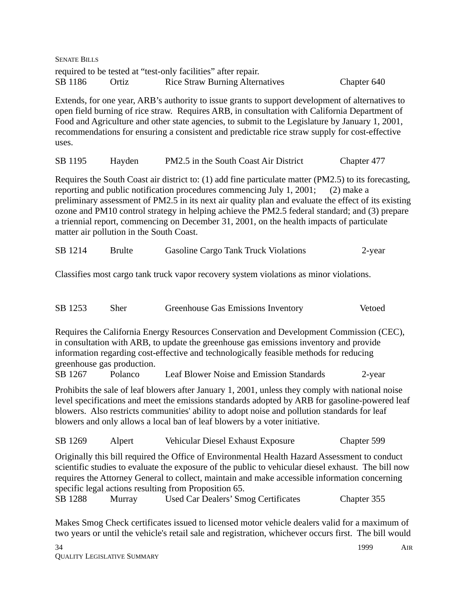SENATE BILLS required to be tested at "test-only facilities" after repair. SB 1186 Ortiz Rice Straw Burning Alternatives Chapter 640

Extends, for one year, ARB's authority to issue grants to support development of alternatives to open field burning of rice straw. Requires ARB, in consultation with California Department of Food and Agriculture and other state agencies, to submit to the Legislature by January 1, 2001, recommendations for ensuring a consistent and predictable rice straw supply for cost-effective uses.

SB 1195 Hayden PM2.5 in the South Coast Air District Chapter 477

Requires the South Coast air district to: (1) add fine particulate matter (PM2.5) to its forecasting, reporting and public notification procedures commencing July 1, 2001; (2) make a preliminary assessment of PM2.5 in its next air quality plan and evaluate the effect of its existing ozone and PM10 control strategy in helping achieve the PM2.5 federal standard; and (3) prepare a triennial report, commencing on December 31, 2001, on the health impacts of particulate matter air pollution in the South Coast.

| SB 1214 | Brulte | <b>Gasoline Cargo Tank Truck Violations</b> |        |
|---------|--------|---------------------------------------------|--------|
|         |        |                                             | 2-year |

Classifies most cargo tank truck vapor recovery system violations as minor violations.

| SB 1253 | Sher | Greenhouse Gas Emissions Inventory | Vetoed |
|---------|------|------------------------------------|--------|
|         |      |                                    |        |

Requires the California Energy Resources Conservation and Development Commission (CEC), in consultation with ARB, to update the greenhouse gas emissions inventory and provide information regarding cost-effective and technologically feasible methods for reducing greenhouse gas production.

SB 1267 Polanco Leaf Blower Noise and Emission Standards 2-year

Prohibits the sale of leaf blowers after January 1, 2001, unless they comply with national noise level specifications and meet the emissions standards adopted by ARB for gasoline-powered leaf blowers. Also restricts communities' ability to adopt noise and pollution standards for leaf blowers and only allows a local ban of leaf blowers by a voter initiative.

SB 1269 Alpert Vehicular Diesel Exhaust Exposure Chapter 599

Originally this bill required the Office of Environmental Health Hazard Assessment to conduct scientific studies to evaluate the exposure of the public to vehicular diesel exhaust. The bill now requires the Attorney General to collect, maintain and make accessible information concerning specific legal actions resulting from Proposition 65.

SB 1288 Murray Used Car Dealers' Smog Certificates Chapter 355

Makes Smog Check certificates issued to licensed motor vehicle dealers valid for a maximum of two years or until the vehicle's retail sale and registration, whichever occurs first. The bill would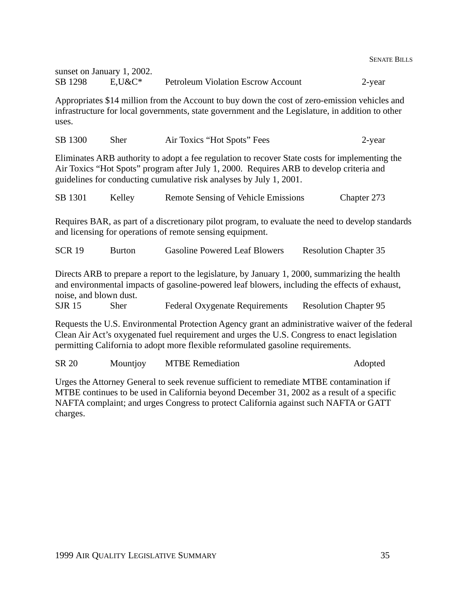SENATE BILLS

| sunset on January 1, 2002. |        |                                           |        |
|----------------------------|--------|-------------------------------------------|--------|
| SB 1298                    | E.U&C* | <b>Petroleum Violation Escrow Account</b> | 2-year |

Appropriates \$14 million from the Account to buy down the cost of zero-emission vehicles and infrastructure for local governments, state government and the Legislature, in addition to other uses.

SB 1300 Sher Air Toxics "Hot Spots" Fees 2-year

Eliminates ARB authority to adopt a fee regulation to recover State costs for implementing the Air Toxics "Hot Spots" program after July 1, 2000. Requires ARB to develop criteria and guidelines for conducting cumulative risk analyses by July 1, 2001.

| SB 1301 | Kellev | Remote Sensing of Vehicle Emissions | Chapter 273 |
|---------|--------|-------------------------------------|-------------|
|---------|--------|-------------------------------------|-------------|

Requires BAR, as part of a discretionary pilot program, to evaluate the need to develop standards and licensing for operations of remote sensing equipment.

SCR 19 Burton Gasoline Powered Leaf Blowers Resolution Chapter 35

Directs ARB to prepare a report to the legislature, by January 1, 2000, summarizing the health and environmental impacts of gasoline-powered leaf blowers, including the effects of exhaust, noise, and blown dust.

SJR 15 Sher Federal Oxygenate Requirements Resolution Chapter 95

Requests the U.S. Environmental Protection Agency grant an administrative waiver of the federal Clean Air Act's oxygenated fuel requirement and urges the U.S. Congress to enact legislation permitting California to adopt more flexible reformulated gasoline requirements.

SR 20 Mountjoy MTBE Remediation MITH 2008 Adopted

Urges the Attorney General to seek revenue sufficient to remediate MTBE contamination if MTBE continues to be used in California beyond December 31, 2002 as a result of a specific NAFTA complaint; and urges Congress to protect California against such NAFTA or GATT charges.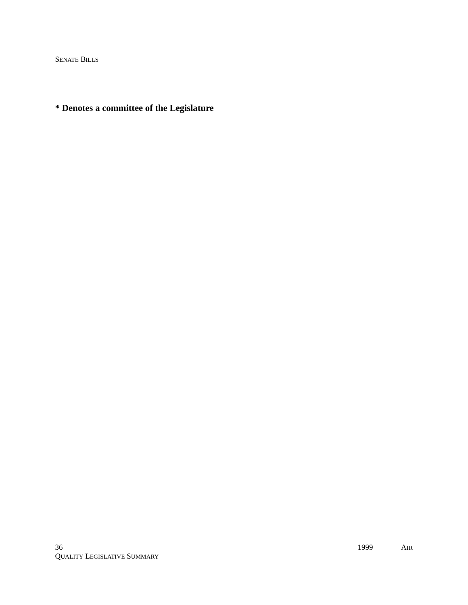**\* Denotes a committee of the Legislature**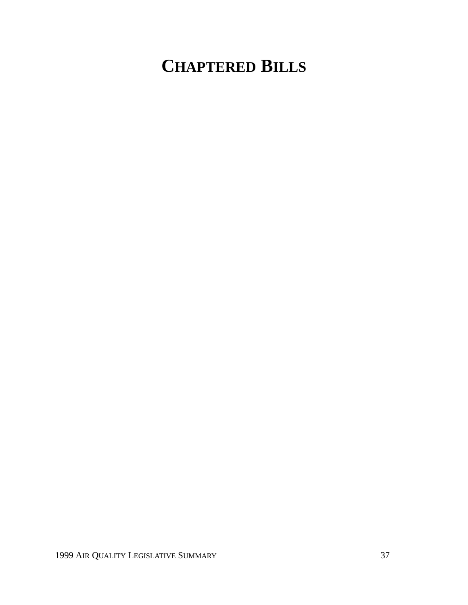# **CHAPTERED BILLS**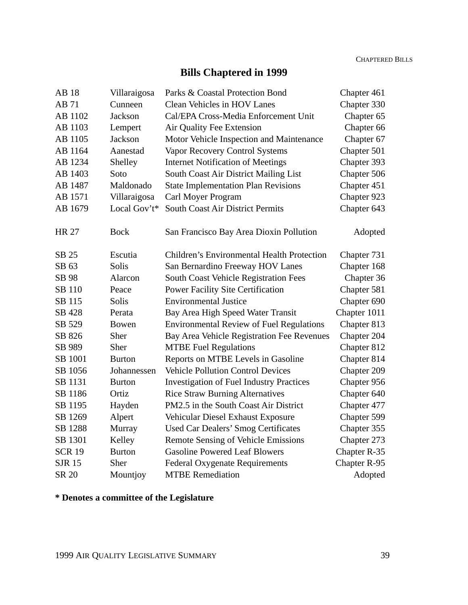# **Bills Chaptered in 1999**

| <b>AB</b> 18  | Villaraigosa  | Parks & Coastal Protection Bond                 | Chapter 461  |
|---------------|---------------|-------------------------------------------------|--------------|
| AB 71         | Cunneen       | <b>Clean Vehicles in HOV Lanes</b>              | Chapter 330  |
| AB 1102       | Jackson       | Cal/EPA Cross-Media Enforcement Unit            | Chapter 65   |
| AB 1103       | Lempert       | <b>Air Quality Fee Extension</b>                | Chapter 66   |
| AB 1105       | Jackson       | Motor Vehicle Inspection and Maintenance        | Chapter 67   |
| AB 1164       | Aanestad      | Vapor Recovery Control Systems                  | Chapter 501  |
| AB 1234       | Shelley       | <b>Internet Notification of Meetings</b>        | Chapter 393  |
| AB 1403       | Soto          | South Coast Air District Mailing List           | Chapter 506  |
| AB 1487       | Maldonado     | <b>State Implementation Plan Revisions</b>      | Chapter 451  |
| AB 1571       | Villaraigosa  | Carl Moyer Program                              | Chapter 923  |
| AB 1679       | Local Gov't*  | <b>South Coast Air District Permits</b>         | Chapter 643  |
| <b>HR 27</b>  | <b>Bock</b>   | San Francisco Bay Area Dioxin Pollution         | Adopted      |
| SB 25         | Escutia       | Children's Environmental Health Protection      | Chapter 731  |
| SB 63         | Solis         | San Bernardino Freeway HOV Lanes                | Chapter 168  |
| <b>SB 98</b>  | Alarcon       | South Coast Vehicle Registration Fees           | Chapter 36   |
| <b>SB 110</b> | Peace         | <b>Power Facility Site Certification</b>        | Chapter 581  |
| SB 115        | Solis         | <b>Environmental Justice</b>                    | Chapter 690  |
| SB 428        | Perata        | Bay Area High Speed Water Transit               | Chapter 1011 |
| SB 529        | <b>Bowen</b>  | <b>Environmental Review of Fuel Regulations</b> | Chapter 813  |
| SB 826        | <b>Sher</b>   | Bay Area Vehicle Registration Fee Revenues      | Chapter 204  |
| SB 989        | Sher          | <b>MTBE Fuel Regulations</b>                    | Chapter 812  |
| SB 1001       | <b>Burton</b> | Reports on MTBE Levels in Gasoline              | Chapter 814  |
| SB 1056       | Johannessen   | <b>Vehicle Pollution Control Devices</b>        | Chapter 209  |
| SB 1131       | <b>Burton</b> | <b>Investigation of Fuel Industry Practices</b> | Chapter 956  |
| SB 1186       | Ortiz         | <b>Rice Straw Burning Alternatives</b>          | Chapter 640  |
| SB 1195       | Hayden        | PM2.5 in the South Coast Air District           | Chapter 477  |
| SB 1269       | Alpert        | Vehicular Diesel Exhaust Exposure               | Chapter 599  |
| SB 1288       | <b>Murray</b> | <b>Used Car Dealers' Smog Certificates</b>      | Chapter 355  |
| SB 1301       | Kelley        | <b>Remote Sensing of Vehicle Emissions</b>      | Chapter 273  |
| <b>SCR 19</b> | <b>Burton</b> | <b>Gasoline Powered Leaf Blowers</b>            | Chapter R-35 |
| <b>SJR 15</b> | Sher          | <b>Federal Oxygenate Requirements</b>           | Chapter R-95 |
| <b>SR 20</b>  | Mountjoy      | <b>MTBE Remediation</b>                         | Adopted      |

# **\* Denotes a committee of the Legislature**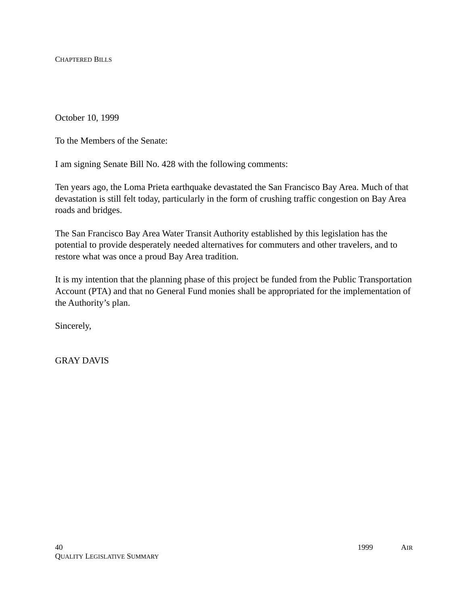CHAPTERED BILLS

October 10, 1999

To the Members of the Senate:

I am signing Senate Bill No. 428 with the following comments:

Ten years ago, the Loma Prieta earthquake devastated the San Francisco Bay Area. Much of that devastation is still felt today, particularly in the form of crushing traffic congestion on Bay Area roads and bridges.

The San Francisco Bay Area Water Transit Authority established by this legislation has the potential to provide desperately needed alternatives for commuters and other travelers, and to restore what was once a proud Bay Area tradition.

It is my intention that the planning phase of this project be funded from the Public Transportation Account (PTA) and that no General Fund monies shall be appropriated for the implementation of the Authority's plan.

Sincerely,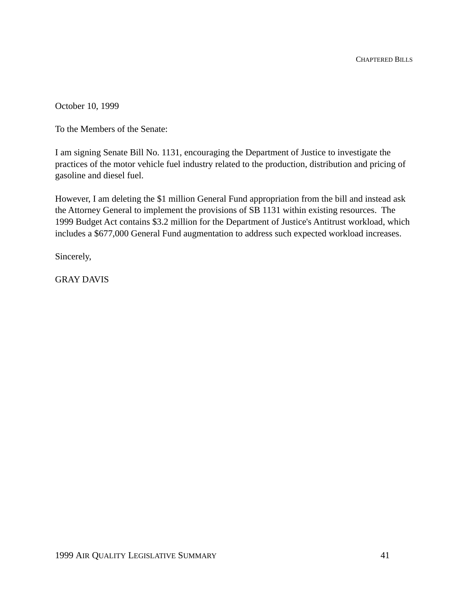October 10, 1999

To the Members of the Senate:

I am signing Senate Bill No. 1131, encouraging the Department of Justice to investigate the practices of the motor vehicle fuel industry related to the production, distribution and pricing of gasoline and diesel fuel.

However, I am deleting the \$1 million General Fund appropriation from the bill and instead ask the Attorney General to implement the provisions of SB 1131 within existing resources. The 1999 Budget Act contains \$3.2 million for the Department of Justice's Antitrust workload, which includes a \$677,000 General Fund augmentation to address such expected workload increases.

Sincerely,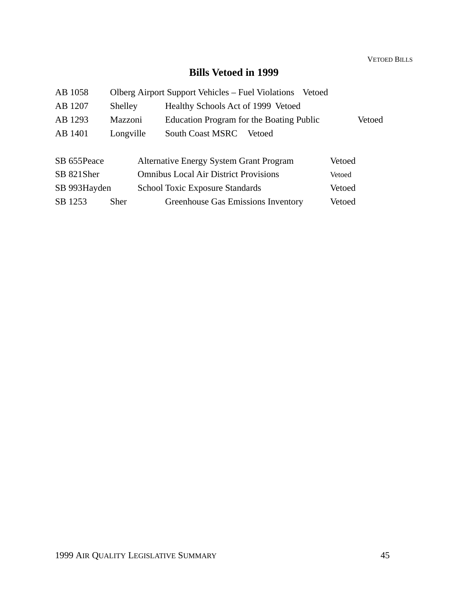# **Bills Vetoed in 1999**

| AB 1058      |           | Olberg Airport Support Vehicles – Fuel Violations Vetoed |        |
|--------------|-----------|----------------------------------------------------------|--------|
| AB 1207      | Shelley   | Healthy Schools Act of 1999 Vetoed                       |        |
| AB 1293      | Mazzoni   | <b>Education Program for the Boating Public</b>          | Vetoed |
| AB 1401      | Longville | <b>South Coast MSRC</b><br>Vetoed                        |        |
|              |           |                                                          |        |
| SB 655Peace  |           | Alternative Energy System Grant Program                  | Vetoed |
| SB 821Sher   |           | <b>Omnibus Local Air District Provisions</b>             | Vetoed |
| SB 993Hayden |           | <b>School Toxic Exposure Standards</b>                   | Vetoed |

SB 1253 Sher Greenhouse Gas Emissions Inventory Vetoed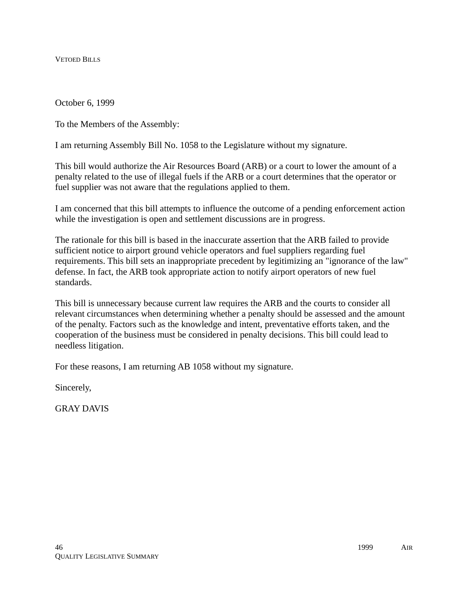October 6, 1999

To the Members of the Assembly:

I am returning Assembly Bill No. 1058 to the Legislature without my signature.

This bill would authorize the Air Resources Board (ARB) or a court to lower the amount of a penalty related to the use of illegal fuels if the ARB or a court determines that the operator or fuel supplier was not aware that the regulations applied to them.

I am concerned that this bill attempts to influence the outcome of a pending enforcement action while the investigation is open and settlement discussions are in progress.

The rationale for this bill is based in the inaccurate assertion that the ARB failed to provide sufficient notice to airport ground vehicle operators and fuel suppliers regarding fuel requirements. This bill sets an inappropriate precedent by legitimizing an "ignorance of the law" defense. In fact, the ARB took appropriate action to notify airport operators of new fuel standards.

This bill is unnecessary because current law requires the ARB and the courts to consider all relevant circumstances when determining whether a penalty should be assessed and the amount of the penalty. Factors such as the knowledge and intent, preventative efforts taken, and the cooperation of the business must be considered in penalty decisions. This bill could lead to needless litigation.

For these reasons, I am returning AB 1058 without my signature.

Sincerely,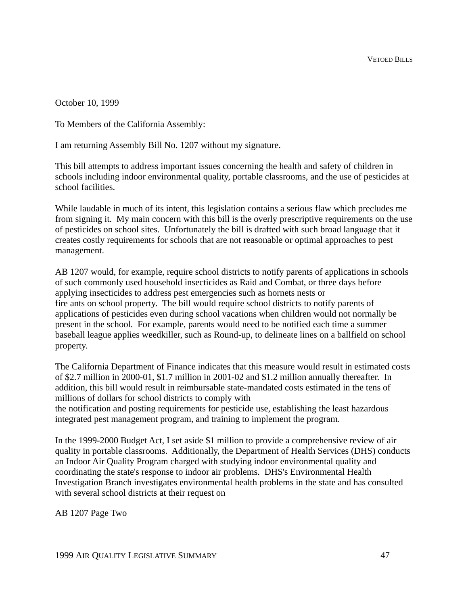October 10, 1999

To Members of the California Assembly:

I am returning Assembly Bill No. 1207 without my signature.

This bill attempts to address important issues concerning the health and safety of children in schools including indoor environmental quality, portable classrooms, and the use of pesticides at school facilities.

While laudable in much of its intent, this legislation contains a serious flaw which precludes me from signing it. My main concern with this bill is the overly prescriptive requirements on the use of pesticides on school sites. Unfortunately the bill is drafted with such broad language that it creates costly requirements for schools that are not reasonable or optimal approaches to pest management.

AB 1207 would, for example, require school districts to notify parents of applications in schools of such commonly used household insecticides as Raid and Combat, or three days before applying insecticides to address pest emergencies such as hornets nests or fire ants on school property. The bill would require school districts to notify parents of applications of pesticides even during school vacations when children would not normally be present in the school. For example, parents would need to be notified each time a summer baseball league applies weedkiller, such as Round-up, to delineate lines on a ballfield on school property.

The California Department of Finance indicates that this measure would result in estimated costs of \$2.7 million in 2000-01, \$1.7 million in 2001-02 and \$1.2 million annually thereafter. In addition, this bill would result in reimbursable state-mandated costs estimated in the tens of millions of dollars for school districts to comply with

the notification and posting requirements for pesticide use, establishing the least hazardous integrated pest management program, and training to implement the program.

In the 1999-2000 Budget Act, I set aside \$1 million to provide a comprehensive review of air quality in portable classrooms. Additionally, the Department of Health Services (DHS) conducts an Indoor Air Quality Program charged with studying indoor environmental quality and coordinating the state's response to indoor air problems. DHS's Environmental Health Investigation Branch investigates environmental health problems in the state and has consulted with several school districts at their request on

AB 1207 Page Two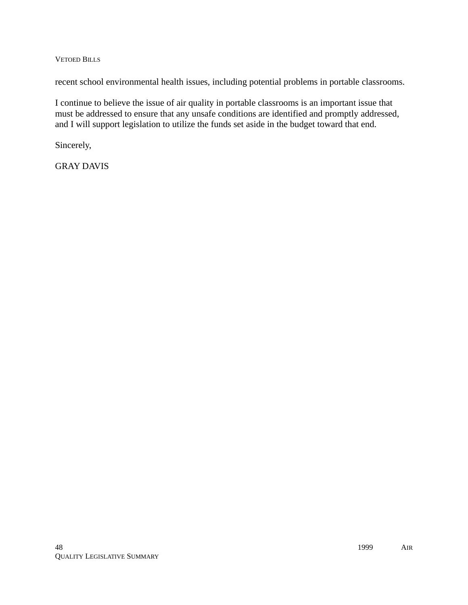recent school environmental health issues, including potential problems in portable classrooms.

I continue to believe the issue of air quality in portable classrooms is an important issue that must be addressed to ensure that any unsafe conditions are identified and promptly addressed, and I will support legislation to utilize the funds set aside in the budget toward that end.

Sincerely,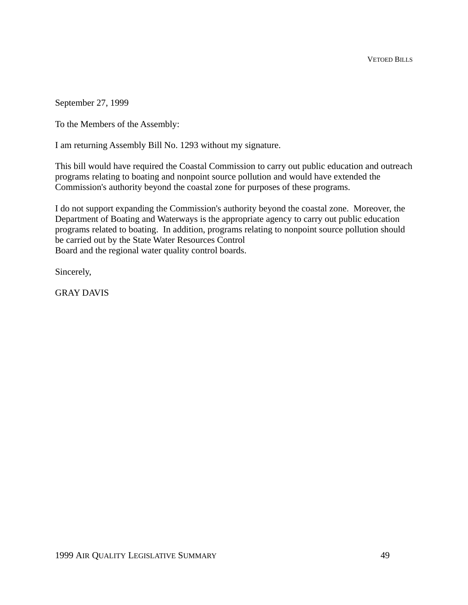September 27, 1999

To the Members of the Assembly:

I am returning Assembly Bill No. 1293 without my signature.

This bill would have required the Coastal Commission to carry out public education and outreach programs relating to boating and nonpoint source pollution and would have extended the Commission's authority beyond the coastal zone for purposes of these programs.

I do not support expanding the Commission's authority beyond the coastal zone. Moreover, the Department of Boating and Waterways is the appropriate agency to carry out public education programs related to boating. In addition, programs relating to nonpoint source pollution should be carried out by the State Water Resources Control Board and the regional water quality control boards.

Sincerely,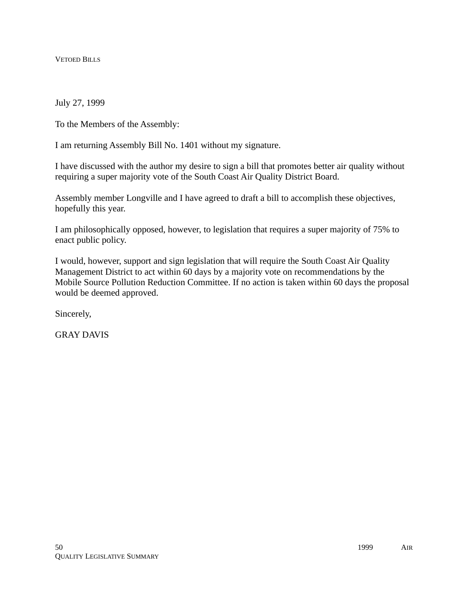July 27, 1999

To the Members of the Assembly:

I am returning Assembly Bill No. 1401 without my signature.

I have discussed with the author my desire to sign a bill that promotes better air quality without requiring a super majority vote of the South Coast Air Quality District Board.

Assembly member Longville and I have agreed to draft a bill to accomplish these objectives, hopefully this year.

I am philosophically opposed, however, to legislation that requires a super majority of 75% to enact public policy.

I would, however, support and sign legislation that will require the South Coast Air Quality Management District to act within 60 days by a majority vote on recommendations by the Mobile Source Pollution Reduction Committee. If no action is taken within 60 days the proposal would be deemed approved.

Sincerely,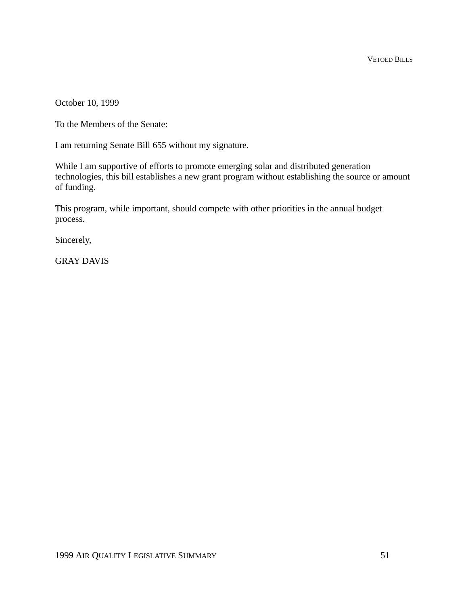October 10, 1999

To the Members of the Senate:

I am returning Senate Bill 655 without my signature.

While I am supportive of efforts to promote emerging solar and distributed generation technologies, this bill establishes a new grant program without establishing the source or amount of funding.

This program, while important, should compete with other priorities in the annual budget process.

Sincerely,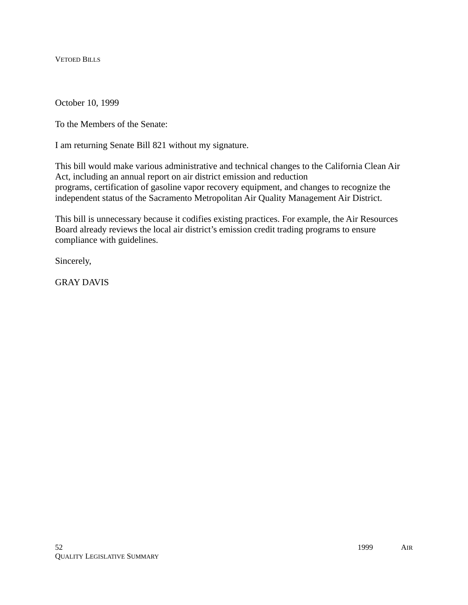October 10, 1999

To the Members of the Senate:

I am returning Senate Bill 821 without my signature.

This bill would make various administrative and technical changes to the California Clean Air Act, including an annual report on air district emission and reduction programs, certification of gasoline vapor recovery equipment, and changes to recognize the independent status of the Sacramento Metropolitan Air Quality Management Air District.

This bill is unnecessary because it codifies existing practices. For example, the Air Resources Board already reviews the local air district's emission credit trading programs to ensure compliance with guidelines.

Sincerely,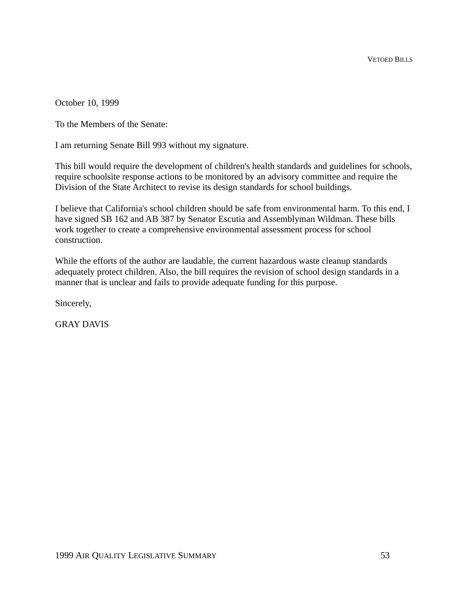October 10, 1999

To the Members of the Senate:

I am returning Senate Bill 993 without my signature.

This bill would require the development of children's health standards and guidelines for schools, require schoolsite response actions to be monitored by an advisory committee and require the Division of the State Architect to revise its design standards for school buildings.

I believe that California's school children should be safe from environmental harm. To this end, I have signed SB 162 and AB 387 by Senator Escutia and Assemblyman Wildman. These bills work together to create a comprehensive environmental assessment process for school construction.

While the efforts of the author are laudable, the current hazardous waste cleanup standards adequately protect children. Also, the bill requires the revision of school design standards in a manner that is unclear and fails to provide adequate funding for this purpose.

Sincerely,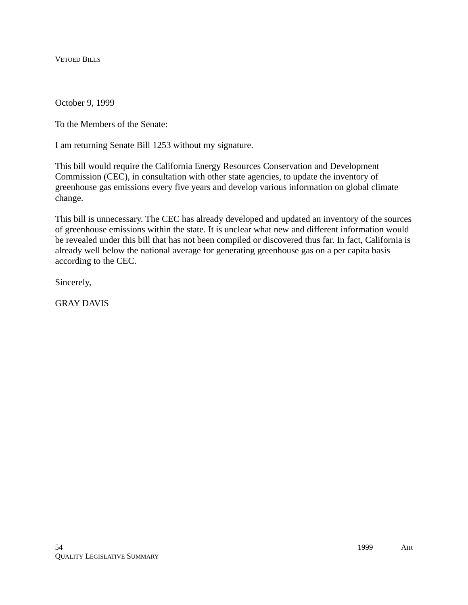October 9, 1999

To the Members of the Senate:

I am returning Senate Bill 1253 without my signature.

This bill would require the California Energy Resources Conservation and Development Commission (CEC), in consultation with other state agencies, to update the inventory of greenhouse gas emissions every five years and develop various information on global climate change.

This bill is unnecessary. The CEC has already developed and updated an inventory of the sources of greenhouse emissions within the state. It is unclear what new and different information would be revealed under this bill that has not been compiled or discovered thus far. In fact, California is already well below the national average for generating greenhouse gas on a per capita basis according to the CEC.

Sincerely,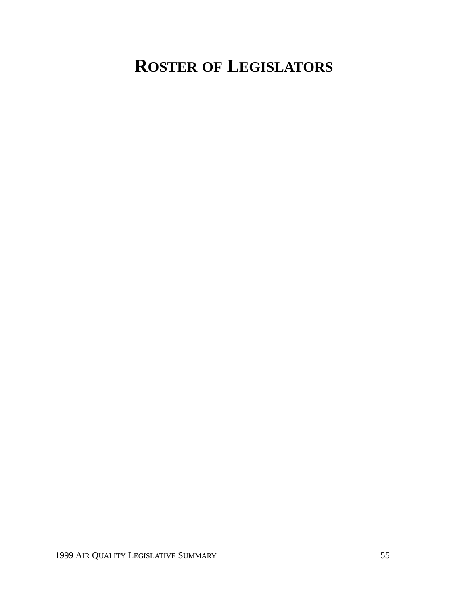# **ROSTER OF LEGISLATORS**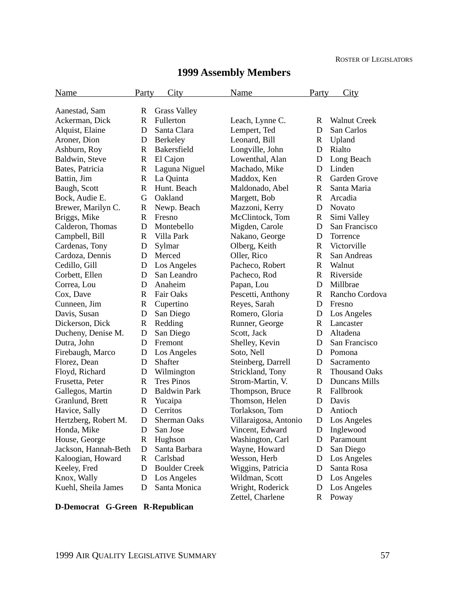| <b>Name</b>          | Party       | City                 | <b>Name</b>           | Party       | <u>City</u>          |
|----------------------|-------------|----------------------|-----------------------|-------------|----------------------|
| Aanestad, Sam        | R           | <b>Grass Valley</b>  |                       |             |                      |
| Ackerman, Dick       | R           | Fullerton            | Leach, Lynne C.       | R           | <b>Walnut Creek</b>  |
| Alquist, Elaine      | D           | Santa Clara          | Lempert, Ted          | D           | San Carlos           |
| Aroner, Dion         | D           | <b>Berkeley</b>      | Leonard, Bill         | R           | Upland               |
| Ashburn, Roy         | R           | <b>Bakersfield</b>   | Longville, John       | D           | Rialto               |
| Baldwin, Steve       | $\mathbf R$ | El Cajon             | Lowenthal, Alan       | D           | Long Beach           |
| Bates, Patricia      | $\mathbf R$ | Laguna Niguel        | Machado, Mike         | D           | Linden               |
| Battin, Jim          | R           | La Quinta            | Maddox, Ken           | R           | Garden Grove         |
| Baugh, Scott         | R           | Hunt. Beach          | Maldonado, Abel       | R           | Santa Maria          |
| Bock, Audie E.       | G           | Oakland              | Margett, Bob          | R           | Arcadia              |
| Brewer, Marilyn C.   | $\mathbf R$ | Newp. Beach          | Mazzoni, Kerry        | D           | <b>Novato</b>        |
| Briggs, Mike         | $\mathbf R$ | Fresno               | McClintock, Tom       | $\mathbf R$ | Simi Valley          |
| Calderon, Thomas     | D           | Montebello           | Migden, Carole        | D           | San Francisco        |
| Campbell, Bill       | R           | Villa Park           | Nakano, George        | D           | Torrence             |
| Cardenas, Tony       | D           | Sylmar               | Olberg, Keith         | R           | Victorville          |
| Cardoza, Dennis      | D           | Merced               | Oller, Rico           | R           | San Andreas          |
| Cedillo, Gill        | D           | Los Angeles          | Pacheco, Robert       | R           | Walnut               |
| Corbett, Ellen       | D           | San Leandro          | Pacheco, Rod          | R           | Riverside            |
| Correa, Lou          | D           | Anaheim              | Papan, Lou            | D           | Millbrae             |
| Cox, Dave            | R           | Fair Oaks            | Pescetti, Anthony     | R           | Rancho Cordova       |
| Cunneen, Jim         | $\mathbf R$ | Cupertino            | Reyes, Sarah          | D           | Fresno               |
| Davis, Susan         | D           | San Diego            | Romero, Gloria        | D           | Los Angeles          |
| Dickerson, Dick      | R           | Redding              | Runner, George        | R           | Lancaster            |
| Ducheny, Denise M.   | D           | San Diego            | Scott, Jack           | D           | Altadena             |
| Dutra, John          | D           | Fremont              | Shelley, Kevin        | D           | San Francisco        |
| Firebaugh, Marco     | D           | Los Angeles          | Soto, Nell            | D           | Pomona               |
| Florez, Dean         | D           | Shafter              | Steinberg, Darrell    | D           | Sacramento           |
| Floyd, Richard       | D           | Wilmington           | Strickland, Tony      | R           | <b>Thousand Oaks</b> |
| Frusetta, Peter      | R           | <b>Tres Pinos</b>    | Strom-Martin, V.      | D           | <b>Duncans Mills</b> |
| Gallegos, Martin     | D           | <b>Baldwin Park</b>  | Thompson, Bruce       | $\mathbf R$ | Fallbrook            |
| Granlund, Brett      | $\mathbf R$ | Yucaipa              | Thomson, Helen        | D           | Davis                |
| Havice, Sally        | D           | Cerritos             | Torlakson, Tom        | D           | Antioch              |
| Hertzberg, Robert M. | D           | <b>Sherman Oaks</b>  | Villaraigosa, Antonio | D           | Los Angeles          |
| Honda, Mike          | D           | San Jose             | Vincent, Edward       | $\mathbf D$ | Inglewood            |
| House, George        | $\mathbf R$ | Hughson              | Washington, Carl      | D           | Paramount            |
| Jackson, Hannah-Beth | D           | Santa Barbara        | Wayne, Howard         | D           | San Diego            |
| Kaloogian, Howard    | $\mathbf R$ | Carlsbad             | Wesson, Herb          | D           | Los Angeles          |
| Keeley, Fred         | D           | <b>Boulder Creek</b> | Wiggins, Patricia     | D           | Santa Rosa           |
| Knox, Wally          | D           | Los Angeles          | Wildman, Scott        | D           | Los Angeles          |
| Kuehl, Sheila James  | D           | Santa Monica         | Wright, Roderick      | D           | Los Angeles          |
|                      |             |                      | Zettel, Charlene      | $\mathbf R$ | Poway                |

# **1999 Assembly Members**

## **D-Democrat G-Green R-Republican**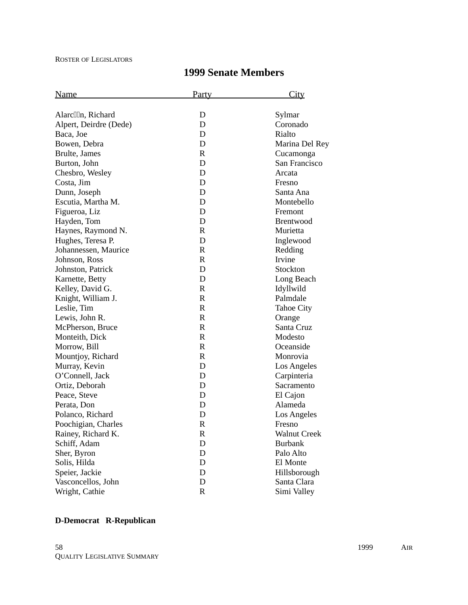#### ROSTER OF LEGISLATORS

# **1999 Senate Members**

| <u>Name</u>            | <u>Party</u> | <u>City</u>         |
|------------------------|--------------|---------------------|
| Alarcllln, Richard     | D            | Sylmar              |
| Alpert, Deirdre (Dede) | D            | Coronado            |
| Baca, Joe              | D            | Rialto              |
| Bowen, Debra           | D            | Marina Del Rey      |
| Brulte, James          | $\mathbf R$  | Cucamonga           |
| Burton, John           | D            | San Francisco       |
| Chesbro, Wesley        | D            | Arcata              |
| Costa, Jim             | D            | Fresno              |
| Dunn, Joseph           | D            | Santa Ana           |
| Escutia, Martha M.     | D            | Montebello          |
| Figueroa, Liz          | D            | Fremont             |
| Hayden, Tom            | D            | <b>Brentwood</b>    |
| Haynes, Raymond N.     | $\mathbf R$  | Murietta            |
| Hughes, Teresa P.      | D            | Inglewood           |
| Johannessen, Maurice   | R            | Redding             |
| Johnson, Ross          | $\mathbf R$  | Irvine              |
| Johnston, Patrick      | D            | Stockton            |
| Karnette, Betty        | D            | Long Beach          |
| Kelley, David G.       | R            | Idyllwild           |
| Knight, William J.     | R            | Palmdale            |
| Leslie, Tim            | $\mathbf R$  | <b>Tahoe City</b>   |
| Lewis, John R.         | R            | Orange              |
| McPherson, Bruce       | $\mathbf R$  | Santa Cruz          |
| Monteith, Dick         | $\mathbf R$  | Modesto             |
| Morrow, Bill           | $\mathbb R$  | Oceanside           |
| Mountjoy, Richard      | R            | Monrovia            |
| Murray, Kevin          | D            | <b>Los Angeles</b>  |
| O'Connell, Jack        | D            | Carpinteria         |
| Ortiz, Deborah         | D            | Sacramento          |
| Peace, Steve           | D            | El Cajon            |
| Perata, Don            | D            | Alameda             |
| Polanco, Richard       | D            | <b>Los Angeles</b>  |
| Poochigian, Charles    | R            | Fresno              |
| Rainey, Richard K.     | R            | <b>Walnut Creek</b> |
| Schiff, Adam           | D            | <b>Burbank</b>      |
| Sher, Byron            | $\mathbf D$  | Palo Alto           |
| Solis, Hilda           | $\mathbf D$  | El Monte            |
| Speier, Jackie         | D            | Hillsborough        |
| Vasconcellos, John     | D            | Santa Clara         |
| Wright, Cathie         | $\mathbf R$  | Simi Valley         |

## **D-Democrat R-Republican**